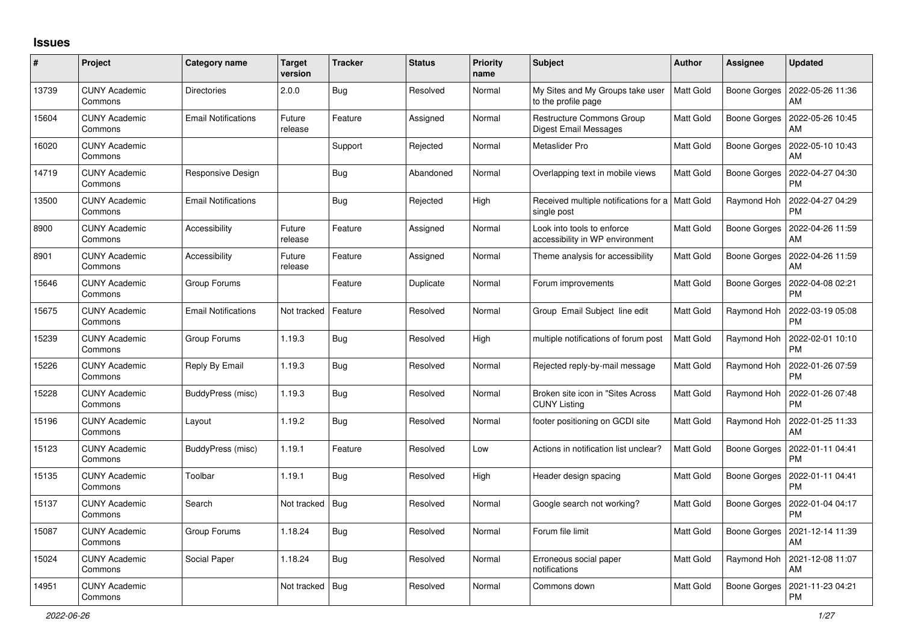## **Issues**

| $\#$  | Project                         | Category name              | <b>Target</b><br>version | <b>Tracker</b> | <b>Status</b> | <b>Priority</b><br>name | <b>Subject</b>                                                   | <b>Author</b>    | Assignee            | <b>Updated</b>                |
|-------|---------------------------------|----------------------------|--------------------------|----------------|---------------|-------------------------|------------------------------------------------------------------|------------------|---------------------|-------------------------------|
| 13739 | <b>CUNY Academic</b><br>Commons | <b>Directories</b>         | 2.0.0                    | <b>Bug</b>     | Resolved      | Normal                  | My Sites and My Groups take user<br>to the profile page          | <b>Matt Gold</b> | <b>Boone Gorges</b> | 2022-05-26 11:36<br>AM        |
| 15604 | <b>CUNY Academic</b><br>Commons | <b>Email Notifications</b> | Future<br>release        | Feature        | Assigned      | Normal                  | <b>Restructure Commons Group</b><br>Digest Email Messages        | Matt Gold        | Boone Gorges        | 2022-05-26 10:45<br>AM        |
| 16020 | <b>CUNY Academic</b><br>Commons |                            |                          | Support        | Rejected      | Normal                  | Metaslider Pro                                                   | Matt Gold        | <b>Boone Gorges</b> | 2022-05-10 10:43<br>AM        |
| 14719 | <b>CUNY Academic</b><br>Commons | Responsive Design          |                          | Bug            | Abandoned     | Normal                  | Overlapping text in mobile views                                 | Matt Gold        | Boone Gorges        | 2022-04-27 04:30<br><b>PM</b> |
| 13500 | <b>CUNY Academic</b><br>Commons | <b>Email Notifications</b> |                          | Bug            | Rejected      | High                    | Received multiple notifications for a   Matt Gold<br>single post |                  | Raymond Hoh         | 2022-04-27 04:29<br><b>PM</b> |
| 8900  | <b>CUNY Academic</b><br>Commons | Accessibility              | Future<br>release        | Feature        | Assigned      | Normal                  | Look into tools to enforce<br>accessibility in WP environment    | Matt Gold        | Boone Gorges        | 2022-04-26 11:59<br>AM        |
| 8901  | <b>CUNY Academic</b><br>Commons | Accessibility              | Future<br>release        | Feature        | Assigned      | Normal                  | Theme analysis for accessibility                                 | Matt Gold        | <b>Boone Gorges</b> | 2022-04-26 11:59<br>AM        |
| 15646 | <b>CUNY Academic</b><br>Commons | Group Forums               |                          | Feature        | Duplicate     | Normal                  | Forum improvements                                               | Matt Gold        | Boone Gorges        | 2022-04-08 02:21<br><b>PM</b> |
| 15675 | <b>CUNY Academic</b><br>Commons | <b>Email Notifications</b> | Not tracked              | Feature        | Resolved      | Normal                  | Group Email Subject line edit                                    | Matt Gold        | Raymond Hoh         | 2022-03-19 05:08<br><b>PM</b> |
| 15239 | <b>CUNY Academic</b><br>Commons | Group Forums               | 1.19.3                   | Bug            | Resolved      | High                    | multiple notifications of forum post                             | Matt Gold        | Raymond Hoh         | 2022-02-01 10:10<br><b>PM</b> |
| 15226 | <b>CUNY Academic</b><br>Commons | Reply By Email             | 1.19.3                   | Bug            | Resolved      | Normal                  | Rejected reply-by-mail message                                   | Matt Gold        | Raymond Hoh         | 2022-01-26 07:59<br><b>PM</b> |
| 15228 | CUNY Academic<br>Commons        | BuddyPress (misc)          | 1.19.3                   | <b>Bug</b>     | Resolved      | Normal                  | Broken site icon in "Sites Across<br><b>CUNY Listing</b>         | Matt Gold        | Raymond Hoh         | 2022-01-26 07:48<br><b>PM</b> |
| 15196 | <b>CUNY Academic</b><br>Commons | Layout                     | 1.19.2                   | <b>Bug</b>     | Resolved      | Normal                  | footer positioning on GCDI site                                  | Matt Gold        | Raymond Hoh         | 2022-01-25 11:33<br>AM        |
| 15123 | <b>CUNY Academic</b><br>Commons | BuddyPress (misc)          | 1.19.1                   | Feature        | Resolved      | Low                     | Actions in notification list unclear?                            | Matt Gold        | Boone Gorges        | 2022-01-11 04:41<br><b>PM</b> |
| 15135 | <b>CUNY Academic</b><br>Commons | Toolbar                    | 1.19.1                   | <b>Bug</b>     | Resolved      | High                    | Header design spacing                                            | Matt Gold        | <b>Boone Gorges</b> | 2022-01-11 04:41<br><b>PM</b> |
| 15137 | <b>CUNY Academic</b><br>Commons | Search                     | Not tracked              | Bug            | Resolved      | Normal                  | Google search not working?                                       | Matt Gold        | Boone Gorges        | 2022-01-04 04:17<br><b>PM</b> |
| 15087 | <b>CUNY Academic</b><br>Commons | Group Forums               | 1.18.24                  | <b>Bug</b>     | Resolved      | Normal                  | Forum file limit                                                 | Matt Gold        | Boone Gorges        | 2021-12-14 11:39<br>AM        |
| 15024 | <b>CUNY Academic</b><br>Commons | Social Paper               | 1.18.24                  | Bug            | Resolved      | Normal                  | Erroneous social paper<br>notifications                          | Matt Gold        | Raymond Hoh         | 2021-12-08 11:07<br>AM        |
| 14951 | <b>CUNY Academic</b><br>Commons |                            | Not tracked              | Bug            | Resolved      | Normal                  | Commons down                                                     | Matt Gold        | <b>Boone Gorges</b> | 2021-11-23 04:21<br><b>PM</b> |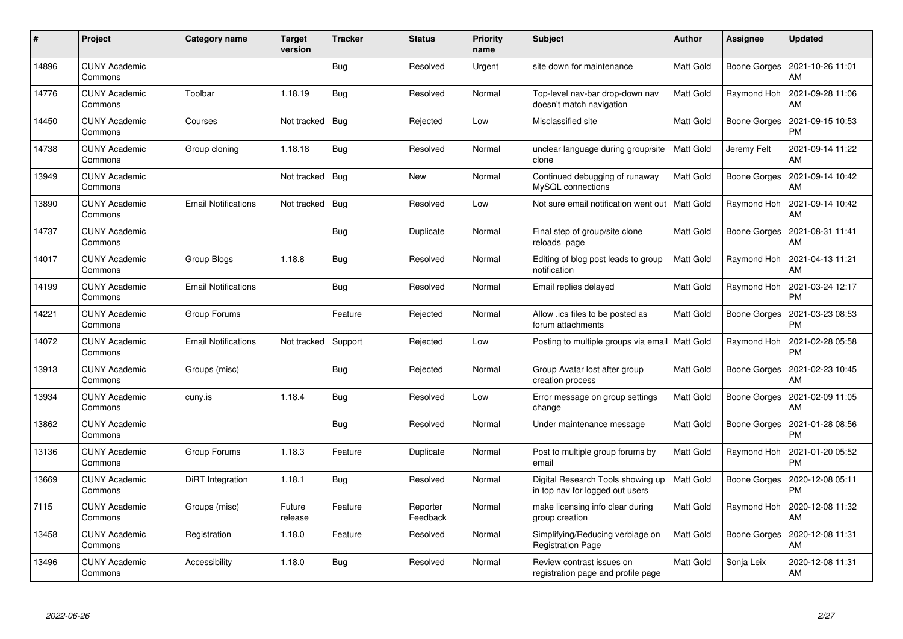| #     | Project                         | Category name              | <b>Target</b><br>version | <b>Tracker</b> | <b>Status</b>        | <b>Priority</b><br>name | <b>Subject</b>                                                       | <b>Author</b> | Assignee            | <b>Updated</b>                |
|-------|---------------------------------|----------------------------|--------------------------|----------------|----------------------|-------------------------|----------------------------------------------------------------------|---------------|---------------------|-------------------------------|
| 14896 | <b>CUNY Academic</b><br>Commons |                            |                          | Bug            | Resolved             | Urgent                  | site down for maintenance                                            | Matt Gold     | Boone Gorges        | 2021-10-26 11:01<br>AM        |
| 14776 | <b>CUNY Academic</b><br>Commons | Toolbar                    | 1.18.19                  | Bug            | Resolved             | Normal                  | Top-level nav-bar drop-down nav<br>doesn't match navigation          | Matt Gold     | Raymond Hoh         | 2021-09-28 11:06<br>AM        |
| 14450 | <b>CUNY Academic</b><br>Commons | Courses                    | Not tracked              | <b>Bug</b>     | Rejected             | Low                     | Misclassified site                                                   | Matt Gold     | Boone Gorges        | 2021-09-15 10:53<br><b>PM</b> |
| 14738 | <b>CUNY Academic</b><br>Commons | Group cloning              | 1.18.18                  | Bug            | Resolved             | Normal                  | unclear language during group/site<br>clone                          | Matt Gold     | Jeremy Felt         | 2021-09-14 11:22<br>AM        |
| 13949 | <b>CUNY Academic</b><br>Commons |                            | Not tracked   Bug        |                | <b>New</b>           | Normal                  | Continued debugging of runaway<br>MySQL connections                  | Matt Gold     | Boone Gorges        | 2021-09-14 10:42<br>AM        |
| 13890 | <b>CUNY Academic</b><br>Commons | <b>Email Notifications</b> | Not tracked              | Bug            | Resolved             | Low                     | Not sure email notification went out                                 | Matt Gold     | Raymond Hoh         | 2021-09-14 10:42<br>AM        |
| 14737 | <b>CUNY Academic</b><br>Commons |                            |                          | Bug            | Duplicate            | Normal                  | Final step of group/site clone<br>reloads page                       | Matt Gold     | <b>Boone Gorges</b> | 2021-08-31 11:41<br>AM        |
| 14017 | <b>CUNY Academic</b><br>Commons | Group Blogs                | 1.18.8                   | <b>Bug</b>     | Resolved             | Normal                  | Editing of blog post leads to group<br>notification                  | Matt Gold     | Raymond Hoh         | 2021-04-13 11:21<br>AM        |
| 14199 | <b>CUNY Academic</b><br>Commons | <b>Email Notifications</b> |                          | <b>Bug</b>     | Resolved             | Normal                  | Email replies delayed                                                | Matt Gold     | Raymond Hoh         | 2021-03-24 12:17<br><b>PM</b> |
| 14221 | <b>CUNY Academic</b><br>Commons | Group Forums               |                          | Feature        | Rejected             | Normal                  | Allow .ics files to be posted as<br>forum attachments                | Matt Gold     | <b>Boone Gorges</b> | 2021-03-23 08:53<br><b>PM</b> |
| 14072 | <b>CUNY Academic</b><br>Commons | <b>Email Notifications</b> | Not tracked              | Support        | Rejected             | Low                     | Posting to multiple groups via email   Matt Gold                     |               | Raymond Hoh         | 2021-02-28 05:58<br><b>PM</b> |
| 13913 | <b>CUNY Academic</b><br>Commons | Groups (misc)              |                          | <b>Bug</b>     | Rejected             | Normal                  | Group Avatar lost after group<br>creation process                    | Matt Gold     | Boone Gorges        | 2021-02-23 10:45<br>AM        |
| 13934 | <b>CUNY Academic</b><br>Commons | cuny.is                    | 1.18.4                   | <b>Bug</b>     | Resolved             | Low                     | Error message on group settings<br>change                            | Matt Gold     | Boone Gorges        | 2021-02-09 11:05<br>AM        |
| 13862 | <b>CUNY Academic</b><br>Commons |                            |                          | <b>Bug</b>     | Resolved             | Normal                  | Under maintenance message                                            | Matt Gold     | Boone Gorges        | 2021-01-28 08:56<br>PM        |
| 13136 | <b>CUNY Academic</b><br>Commons | Group Forums               | 1.18.3                   | Feature        | Duplicate            | Normal                  | Post to multiple group forums by<br>email                            | Matt Gold     | Raymond Hoh         | 2021-01-20 05:52<br><b>PM</b> |
| 13669 | <b>CUNY Academic</b><br>Commons | DiRT Integration           | 1.18.1                   | <b>Bug</b>     | Resolved             | Normal                  | Digital Research Tools showing up<br>in top nav for logged out users | Matt Gold     | Boone Gorges        | 2020-12-08 05:11<br>PM        |
| 7115  | <b>CUNY Academic</b><br>Commons | Groups (misc)              | Future<br>release        | Feature        | Reporter<br>Feedback | Normal                  | make licensing info clear during<br>group creation                   | Matt Gold     | Raymond Hoh         | 2020-12-08 11:32<br>AM        |
| 13458 | <b>CUNY Academic</b><br>Commons | Registration               | 1.18.0                   | Feature        | Resolved             | Normal                  | Simplifying/Reducing verbiage on<br><b>Registration Page</b>         | Matt Gold     | <b>Boone Gorges</b> | 2020-12-08 11:31<br>AM        |
| 13496 | <b>CUNY Academic</b><br>Commons | Accessibility              | 1.18.0                   | <b>Bug</b>     | Resolved             | Normal                  | Review contrast issues on<br>registration page and profile page      | Matt Gold     | Sonja Leix          | 2020-12-08 11:31<br>AM        |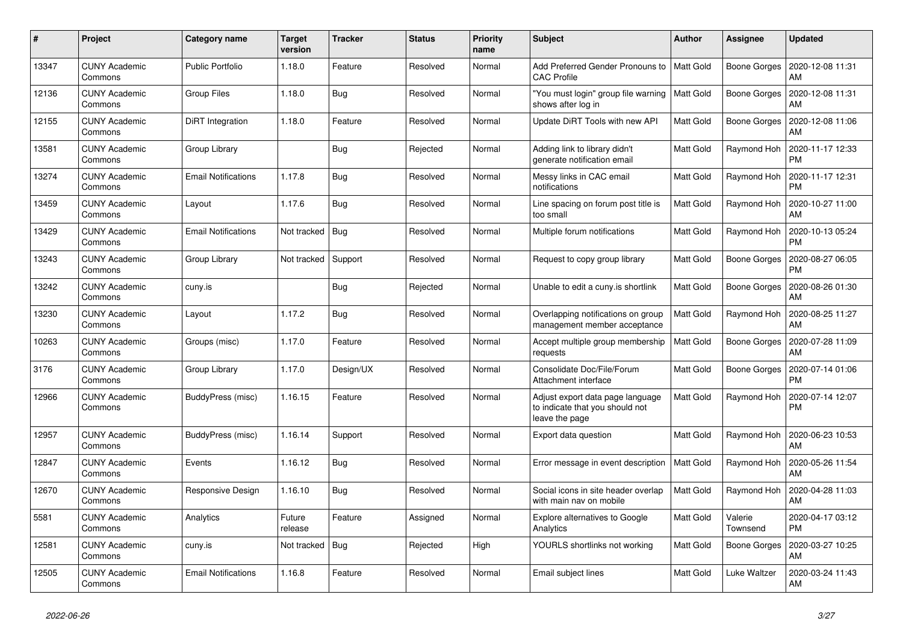| $\#$  | Project                         | <b>Category name</b>       | <b>Target</b><br>version | <b>Tracker</b> | <b>Status</b> | <b>Priority</b><br>name | <b>Subject</b>                                                                        | <b>Author</b>    | <b>Assignee</b>     | <b>Updated</b>                |
|-------|---------------------------------|----------------------------|--------------------------|----------------|---------------|-------------------------|---------------------------------------------------------------------------------------|------------------|---------------------|-------------------------------|
| 13347 | <b>CUNY Academic</b><br>Commons | <b>Public Portfolio</b>    | 1.18.0                   | Feature        | Resolved      | Normal                  | Add Preferred Gender Pronouns to<br><b>CAC Profile</b>                                | <b>Matt Gold</b> | Boone Gorges        | 2020-12-08 11:31<br>AM        |
| 12136 | <b>CUNY Academic</b><br>Commons | <b>Group Files</b>         | 1.18.0                   | Bug            | Resolved      | Normal                  | 'You must login" group file warning<br>shows after log in                             | Matt Gold        | Boone Gorges        | 2020-12-08 11:31<br>AM        |
| 12155 | <b>CUNY Academic</b><br>Commons | DiRT Integration           | 1.18.0                   | Feature        | Resolved      | Normal                  | Update DiRT Tools with new API                                                        | Matt Gold        | <b>Boone Gorges</b> | 2020-12-08 11:06<br>AM        |
| 13581 | <b>CUNY Academic</b><br>Commons | Group Library              |                          | Bug            | Rejected      | Normal                  | Adding link to library didn't<br>generate notification email                          | Matt Gold        | Raymond Hoh         | 2020-11-17 12:33<br><b>PM</b> |
| 13274 | <b>CUNY Academic</b><br>Commons | <b>Email Notifications</b> | 1.17.8                   | Bug            | Resolved      | Normal                  | Messy links in CAC email<br>notifications                                             | Matt Gold        | Raymond Hoh         | 2020-11-17 12:31<br><b>PM</b> |
| 13459 | <b>CUNY Academic</b><br>Commons | Layout                     | 1.17.6                   | <b>Bug</b>     | Resolved      | Normal                  | Line spacing on forum post title is<br>too small                                      | Matt Gold        | Raymond Hoh         | 2020-10-27 11:00<br>AM        |
| 13429 | <b>CUNY Academic</b><br>Commons | <b>Email Notifications</b> | Not tracked              | Bug            | Resolved      | Normal                  | Multiple forum notifications                                                          | Matt Gold        | Raymond Hoh         | 2020-10-13 05:24<br><b>PM</b> |
| 13243 | <b>CUNY Academic</b><br>Commons | Group Library              | Not tracked              | Support        | Resolved      | Normal                  | Request to copy group library                                                         | Matt Gold        | Boone Gorges        | 2020-08-27 06:05<br><b>PM</b> |
| 13242 | <b>CUNY Academic</b><br>Commons | cuny.is                    |                          | <b>Bug</b>     | Rejected      | Normal                  | Unable to edit a cuny.is shortlink                                                    | Matt Gold        | <b>Boone Gorges</b> | 2020-08-26 01:30<br>AM        |
| 13230 | <b>CUNY Academic</b><br>Commons | Layout                     | 1.17.2                   | <b>Bug</b>     | Resolved      | Normal                  | Overlapping notifications on group<br>management member acceptance                    | Matt Gold        | Raymond Hoh         | 2020-08-25 11:27<br>AM        |
| 10263 | <b>CUNY Academic</b><br>Commons | Groups (misc)              | 1.17.0                   | Feature        | Resolved      | Normal                  | Accept multiple group membership<br>requests                                          | Matt Gold        | Boone Gorges        | 2020-07-28 11:09<br>AM        |
| 3176  | <b>CUNY Academic</b><br>Commons | Group Library              | 1.17.0                   | Design/UX      | Resolved      | Normal                  | Consolidate Doc/File/Forum<br>Attachment interface                                    | Matt Gold        | Boone Gorges        | 2020-07-14 01:06<br><b>PM</b> |
| 12966 | <b>CUNY Academic</b><br>Commons | BuddyPress (misc)          | 1.16.15                  | Feature        | Resolved      | Normal                  | Adjust export data page language<br>to indicate that you should not<br>leave the page | Matt Gold        | Raymond Hoh         | 2020-07-14 12:07<br><b>PM</b> |
| 12957 | <b>CUNY Academic</b><br>Commons | BuddyPress (misc)          | 1.16.14                  | Support        | Resolved      | Normal                  | Export data question                                                                  | Matt Gold        | Raymond Hoh         | 2020-06-23 10:53<br>AM        |
| 12847 | <b>CUNY Academic</b><br>Commons | Events                     | 1.16.12                  | <b>Bug</b>     | Resolved      | Normal                  | Error message in event description                                                    | <b>Matt Gold</b> | Raymond Hoh         | 2020-05-26 11:54<br>AM        |
| 12670 | <b>CUNY Academic</b><br>Commons | Responsive Design          | 1.16.10                  | <b>Bug</b>     | Resolved      | Normal                  | Social icons in site header overlap<br>with main nav on mobile                        | Matt Gold        | Raymond Hoh         | 2020-04-28 11:03<br>AM        |
| 5581  | <b>CUNY Academic</b><br>Commons | Analytics                  | Future<br>release        | Feature        | Assigned      | Normal                  | <b>Explore alternatives to Google</b><br>Analytics                                    | Matt Gold        | Valerie<br>Townsend | 2020-04-17 03:12<br><b>PM</b> |
| 12581 | <b>CUNY Academic</b><br>Commons | cuny.is                    | Not tracked              | <b>Bug</b>     | Rejected      | High                    | YOURLS shortlinks not working                                                         | Matt Gold        | Boone Gorges        | 2020-03-27 10:25<br>AM        |
| 12505 | <b>CUNY Academic</b><br>Commons | <b>Email Notifications</b> | 1.16.8                   | Feature        | Resolved      | Normal                  | Email subject lines                                                                   | Matt Gold        | Luke Waltzer        | 2020-03-24 11:43<br>AM        |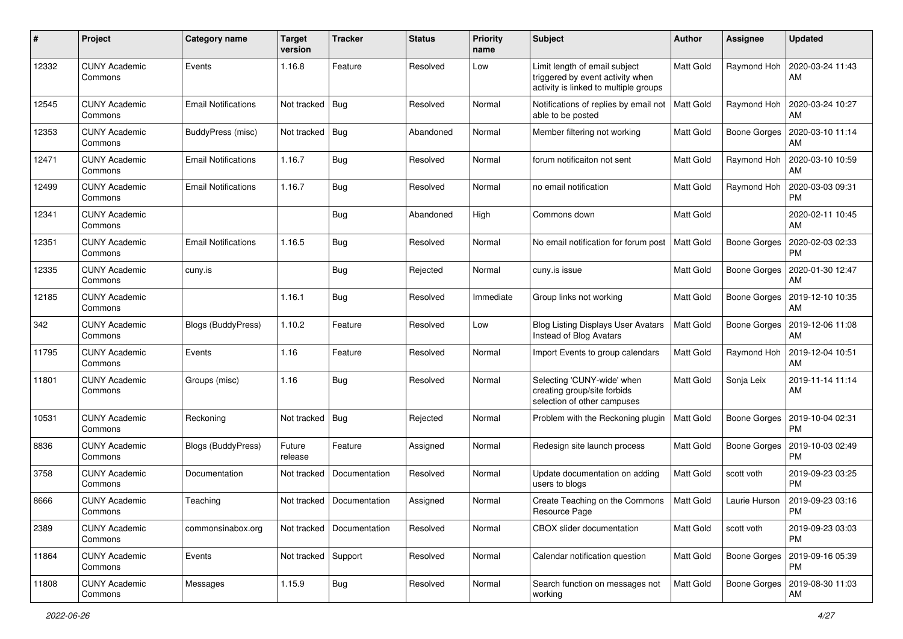| #     | Project                         | Category name              | <b>Target</b><br>version | <b>Tracker</b>              | <b>Status</b> | <b>Priority</b><br>name | Subject                                                                                                    | <b>Author</b> | <b>Assignee</b>     | <b>Updated</b>                |
|-------|---------------------------------|----------------------------|--------------------------|-----------------------------|---------------|-------------------------|------------------------------------------------------------------------------------------------------------|---------------|---------------------|-------------------------------|
| 12332 | <b>CUNY Academic</b><br>Commons | Events                     | 1.16.8                   | Feature                     | Resolved      | Low                     | Limit length of email subject<br>triggered by event activity when<br>activity is linked to multiple groups | Matt Gold     | Raymond Hoh         | 2020-03-24 11:43<br>AM        |
| 12545 | <b>CUNY Academic</b><br>Commons | <b>Email Notifications</b> | Not tracked              | Bug                         | Resolved      | Normal                  | Notifications of replies by email not<br>able to be posted                                                 | Matt Gold     | Raymond Hoh         | 2020-03-24 10:27<br>AM        |
| 12353 | <b>CUNY Academic</b><br>Commons | BuddyPress (misc)          | Not tracked   Bug        |                             | Abandoned     | Normal                  | Member filtering not working                                                                               | Matt Gold     | Boone Gorges        | 2020-03-10 11:14<br>AM        |
| 12471 | <b>CUNY Academic</b><br>Commons | Email Notifications        | 1.16.7                   | Bug                         | Resolved      | Normal                  | forum notificaiton not sent                                                                                | Matt Gold     | Raymond Hoh         | 2020-03-10 10:59<br>AM        |
| 12499 | <b>CUNY Academic</b><br>Commons | Email Notifications        | 1.16.7                   | Bug                         | Resolved      | Normal                  | no email notification                                                                                      | Matt Gold     | Raymond Hoh         | 2020-03-03 09:31<br>PM        |
| 12341 | <b>CUNY Academic</b><br>Commons |                            |                          | Bug                         | Abandoned     | High                    | Commons down                                                                                               | Matt Gold     |                     | 2020-02-11 10:45<br><b>AM</b> |
| 12351 | <b>CUNY Academic</b><br>Commons | <b>Email Notifications</b> | 1.16.5                   | Bug                         | Resolved      | Normal                  | No email notification for forum post                                                                       | Matt Gold     | Boone Gorges        | 2020-02-03 02:33<br>PM        |
| 12335 | <b>CUNY Academic</b><br>Commons | cuny.is                    |                          | Bug                         | Rejected      | Normal                  | cuny.is issue                                                                                              | Matt Gold     | Boone Gorges        | 2020-01-30 12:47<br>AM        |
| 12185 | <b>CUNY Academic</b><br>Commons |                            | 1.16.1                   | <b>Bug</b>                  | Resolved      | Immediate               | Group links not working                                                                                    | Matt Gold     | <b>Boone Gorges</b> | 2019-12-10 10:35<br>AM        |
| 342   | <b>CUNY Academic</b><br>Commons | <b>Blogs (BuddyPress)</b>  | 1.10.2                   | Feature                     | Resolved      | Low                     | <b>Blog Listing Displays User Avatars</b><br>Instead of Blog Avatars                                       | Matt Gold     | Boone Gorges        | 2019-12-06 11:08<br>AM        |
| 11795 | CUNY Academic<br>Commons        | Events                     | 1.16                     | Feature                     | Resolved      | Normal                  | Import Events to group calendars                                                                           | Matt Gold     | Raymond Hoh         | 2019-12-04 10:51<br>AM        |
| 11801 | <b>CUNY Academic</b><br>Commons | Groups (misc)              | 1.16                     | <b>Bug</b>                  | Resolved      | Normal                  | Selecting 'CUNY-wide' when<br>creating group/site forbids<br>selection of other campuses                   | Matt Gold     | Sonja Leix          | 2019-11-14 11:14<br>AM        |
| 10531 | <b>CUNY Academic</b><br>Commons | Reckoning                  | Not tracked              | <b>Bug</b>                  | Rejected      | Normal                  | Problem with the Reckoning plugin                                                                          | Matt Gold     | Boone Gorges        | 2019-10-04 02:31<br><b>PM</b> |
| 8836  | <b>CUNY Academic</b><br>Commons | <b>Blogs (BuddyPress)</b>  | Future<br>release        | Feature                     | Assigned      | Normal                  | Redesign site launch process                                                                               | Matt Gold     | Boone Gorges        | 2019-10-03 02:49<br><b>PM</b> |
| 3758  | <b>CUNY Academic</b><br>Commons | Documentation              | Not tracked              | Documentation               | Resolved      | Normal                  | Update documentation on adding<br>users to blogs                                                           | Matt Gold     | scott voth          | 2019-09-23 03:25<br><b>PM</b> |
| 8666  | <b>CUNY Academic</b><br>Commons | Teaching                   |                          | Not tracked   Documentation | Assigned      | Normal                  | Create Teaching on the Commons<br>Resource Page                                                            | Matt Gold     | Laurie Hurson       | 2019-09-23 03:16<br>PM        |
| 2389  | <b>CUNY Academic</b><br>Commons | commonsinabox.org          | Not tracked              | Documentation               | Resolved      | Normal                  | CBOX slider documentation                                                                                  | Matt Gold     | scott voth          | 2019-09-23 03:03<br>PM        |
| 11864 | <b>CUNY Academic</b><br>Commons | Events                     | Not tracked Support      |                             | Resolved      | Normal                  | Calendar notification question                                                                             | Matt Gold     | Boone Gorges        | 2019-09-16 05:39<br><b>PM</b> |
| 11808 | <b>CUNY Academic</b><br>Commons | Messages                   | 1.15.9                   | <b>Bug</b>                  | Resolved      | Normal                  | Search function on messages not<br>working                                                                 | Matt Gold     | <b>Boone Gorges</b> | 2019-08-30 11:03<br>AM        |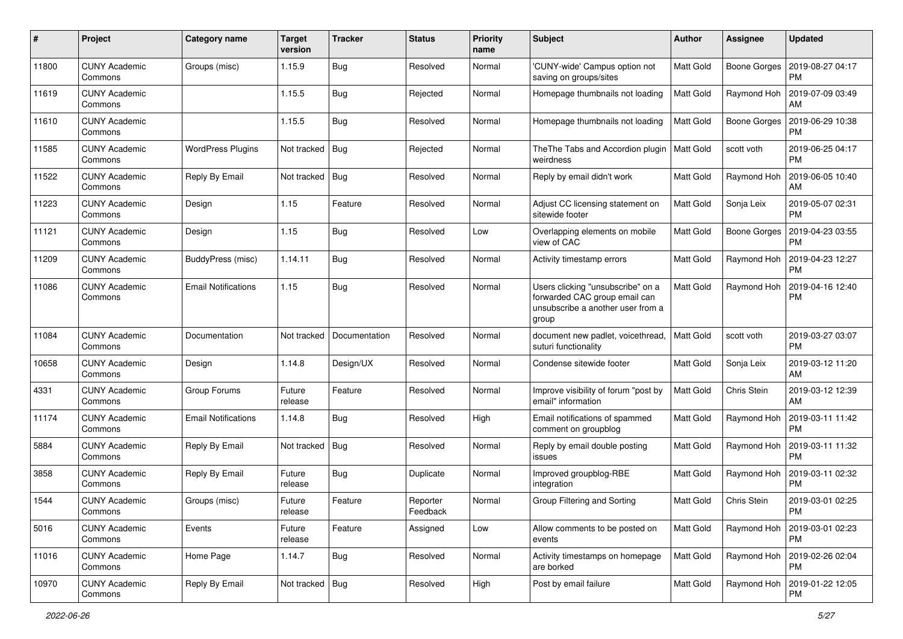| #     | Project                         | Category name              | <b>Target</b><br>version | <b>Tracker</b> | <b>Status</b>        | <b>Priority</b><br>name | Subject                                                                                                          | <b>Author</b>    | <b>Assignee</b>     | <b>Updated</b>                              |
|-------|---------------------------------|----------------------------|--------------------------|----------------|----------------------|-------------------------|------------------------------------------------------------------------------------------------------------------|------------------|---------------------|---------------------------------------------|
| 11800 | <b>CUNY Academic</b><br>Commons | Groups (misc)              | 1.15.9                   | Bug            | Resolved             | Normal                  | 'CUNY-wide' Campus option not<br>saving on groups/sites                                                          | Matt Gold        | <b>Boone Gorges</b> | 2019-08-27 04:17<br>PM                      |
| 11619 | <b>CUNY Academic</b><br>Commons |                            | 1.15.5                   | Bug            | Rejected             | Normal                  | Homepage thumbnails not loading                                                                                  | <b>Matt Gold</b> | Raymond Hoh         | 2019-07-09 03:49<br>AM                      |
| 11610 | <b>CUNY Academic</b><br>Commons |                            | 1.15.5                   | Bug            | Resolved             | Normal                  | Homepage thumbnails not loading                                                                                  | Matt Gold        | <b>Boone Gorges</b> | 2019-06-29 10:38<br><b>PM</b>               |
| 11585 | <b>CUNY Academic</b><br>Commons | <b>WordPress Plugins</b>   | Not tracked              | Bug            | Rejected             | Normal                  | The The Tabs and Accordion plugin<br>weirdness                                                                   | Matt Gold        | scott voth          | 2019-06-25 04:17<br><b>PM</b>               |
| 11522 | <b>CUNY Academic</b><br>Commons | Reply By Email             | Not tracked   Bug        |                | Resolved             | Normal                  | Reply by email didn't work                                                                                       | Matt Gold        | Raymond Hoh         | 2019-06-05 10:40<br>AM                      |
| 11223 | <b>CUNY Academic</b><br>Commons | Design                     | 1.15                     | Feature        | Resolved             | Normal                  | Adjust CC licensing statement on<br>sitewide footer                                                              | Matt Gold        | Sonja Leix          | 2019-05-07 02:31<br><b>PM</b>               |
| 11121 | <b>CUNY Academic</b><br>Commons | Design                     | 1.15                     | Bug            | Resolved             | Low                     | Overlapping elements on mobile<br>view of CAC                                                                    | Matt Gold        | <b>Boone Gorges</b> | 2019-04-23 03:55<br><b>PM</b>               |
| 11209 | <b>CUNY Academic</b><br>Commons | BuddyPress (misc)          | 1.14.11                  | Bug            | Resolved             | Normal                  | Activity timestamp errors                                                                                        | Matt Gold        | Raymond Hoh         | 2019-04-23 12:27<br>PM                      |
| 11086 | <b>CUNY Academic</b><br>Commons | <b>Email Notifications</b> | 1.15                     | Bug            | Resolved             | Normal                  | Users clicking "unsubscribe" on a<br>forwarded CAC group email can<br>unsubscribe a another user from a<br>group | Matt Gold        | Raymond Hoh         | 2019-04-16 12:40<br><b>PM</b>               |
| 11084 | <b>CUNY Academic</b><br>Commons | Documentation              | Not tracked              | Documentation  | Resolved             | Normal                  | document new padlet, voicethread,<br>suturi functionality                                                        | Matt Gold        | scott voth          | 2019-03-27 03:07<br>PM                      |
| 10658 | <b>CUNY Academic</b><br>Commons | Design                     | 1.14.8                   | Design/UX      | Resolved             | Normal                  | Condense sitewide footer                                                                                         | Matt Gold        | Sonja Leix          | 2019-03-12 11:20<br><b>AM</b>               |
| 4331  | <b>CUNY Academic</b><br>Commons | Group Forums               | Future<br>release        | Feature        | Resolved             | Normal                  | Improve visibility of forum "post by<br>email" information                                                       | Matt Gold        | Chris Stein         | 2019-03-12 12:39<br>AM                      |
| 11174 | <b>CUNY Academic</b><br>Commons | Email Notifications        | 1.14.8                   | Bug            | Resolved             | High                    | Email notifications of spammed<br>comment on groupblog                                                           | Matt Gold        | Raymond Hoh         | 2019-03-11 11:42<br><b>PM</b>               |
| 5884  | <b>CUNY Academic</b><br>Commons | Reply By Email             | Not tracked              | Bug            | Resolved             | Normal                  | Reply by email double posting<br>issues                                                                          | Matt Gold        | Raymond Hoh         | 2019-03-11 11:32<br><b>PM</b>               |
| 3858  | <b>CUNY Academic</b><br>Commons | Reply By Email             | Future<br>release        | Bug            | Duplicate            | Normal                  | Improved groupblog-RBE<br>integration                                                                            | Matt Gold        | Raymond Hoh         | 2019-03-11 02:32<br><b>PM</b>               |
| 1544  | <b>CUNY Academic</b><br>Commons | Groups (misc)              | Future<br>release        | Feature        | Reporter<br>Feedback | Normal                  | Group Filtering and Sorting                                                                                      | Matt Gold        | Chris Stein         | 2019-03-01 02:25<br>PM                      |
| 5016  | <b>CUNY Academic</b><br>Commons | Events                     | Future<br>release        | Feature        | Assigned             | Low                     | Allow comments to be posted on<br>events                                                                         | <b>Matt Gold</b> | Raymond Hoh         | 2019-03-01 02:23<br><b>PM</b>               |
| 11016 | <b>CUNY Academic</b><br>Commons | Home Page                  | 1.14.7                   | <b>Bug</b>     | Resolved             | Normal                  | Activity timestamps on homepage<br>are borked                                                                    | <b>Matt Gold</b> |                     | Raymond Hoh   2019-02-26 02:04<br><b>PM</b> |
| 10970 | <b>CUNY Academic</b><br>Commons | Reply By Email             | Not tracked   Bug        |                | Resolved             | High                    | Post by email failure                                                                                            | Matt Gold        | Raymond Hoh         | 2019-01-22 12:05<br><b>PM</b>               |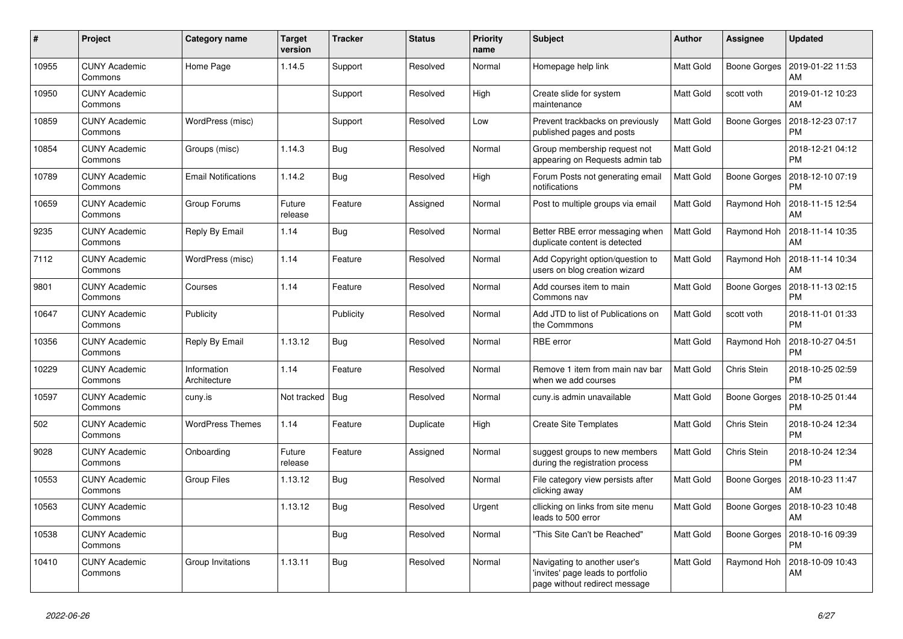| #     | Project                         | <b>Category name</b>        | <b>Target</b><br>version | <b>Tracker</b> | <b>Status</b> | <b>Priority</b><br>name | <b>Subject</b>                                                                                     | <b>Author</b>    | Assignee     | <b>Updated</b>                |
|-------|---------------------------------|-----------------------------|--------------------------|----------------|---------------|-------------------------|----------------------------------------------------------------------------------------------------|------------------|--------------|-------------------------------|
| 10955 | <b>CUNY Academic</b><br>Commons | Home Page                   | 1.14.5                   | Support        | Resolved      | Normal                  | Homepage help link                                                                                 | Matt Gold        | Boone Gorges | 2019-01-22 11:53<br><b>AM</b> |
| 10950 | <b>CUNY Academic</b><br>Commons |                             |                          | Support        | Resolved      | High                    | Create slide for system<br>maintenance                                                             | Matt Gold        | scott voth   | 2019-01-12 10:23<br><b>AM</b> |
| 10859 | <b>CUNY Academic</b><br>Commons | WordPress (misc)            |                          | Support        | Resolved      | Low                     | Prevent trackbacks on previously<br>published pages and posts                                      | Matt Gold        | Boone Gorges | 2018-12-23 07:17<br><b>PM</b> |
| 10854 | <b>CUNY Academic</b><br>Commons | Groups (misc)               | 1.14.3                   | <b>Bug</b>     | Resolved      | Normal                  | Group membership request not<br>appearing on Requests admin tab                                    | Matt Gold        |              | 2018-12-21 04:12<br><b>PM</b> |
| 10789 | <b>CUNY Academic</b><br>Commons | <b>Email Notifications</b>  | 1.14.2                   | Bug            | Resolved      | High                    | Forum Posts not generating email<br>notifications                                                  | Matt Gold        | Boone Gorges | 2018-12-10 07:19<br>PM        |
| 10659 | <b>CUNY Academic</b><br>Commons | Group Forums                | Future<br>release        | Feature        | Assigned      | Normal                  | Post to multiple groups via email                                                                  | Matt Gold        | Raymond Hoh  | 2018-11-15 12:54<br><b>AM</b> |
| 9235  | <b>CUNY Academic</b><br>Commons | Reply By Email              | 1.14                     | Bug            | Resolved      | Normal                  | Better RBE error messaging when<br>duplicate content is detected                                   | <b>Matt Gold</b> | Raymond Hoh  | 2018-11-14 10:35<br>AM        |
| 7112  | <b>CUNY Academic</b><br>Commons | WordPress (misc)            | 1.14                     | Feature        | Resolved      | Normal                  | Add Copyright option/question to<br>users on blog creation wizard                                  | Matt Gold        | Raymond Hoh  | 2018-11-14 10:34<br>AM        |
| 9801  | <b>CUNY Academic</b><br>Commons | Courses                     | 1.14                     | Feature        | Resolved      | Normal                  | Add courses item to main<br>Commons nav                                                            | Matt Gold        | Boone Gorges | 2018-11-13 02:15<br><b>PM</b> |
| 10647 | <b>CUNY Academic</b><br>Commons | Publicity                   |                          | Publicity      | Resolved      | Normal                  | Add JTD to list of Publications on<br>the Commmons                                                 | Matt Gold        | scott voth   | 2018-11-01 01:33<br><b>PM</b> |
| 10356 | <b>CUNY Academic</b><br>Commons | Reply By Email              | 1.13.12                  | <b>Bug</b>     | Resolved      | Normal                  | RBE error                                                                                          | Matt Gold        | Raymond Hoh  | 2018-10-27 04:51<br><b>PM</b> |
| 10229 | <b>CUNY Academic</b><br>Commons | Information<br>Architecture | 1.14                     | Feature        | Resolved      | Normal                  | Remove 1 item from main nav bar<br>when we add courses                                             | Matt Gold        | Chris Stein  | 2018-10-25 02:59<br><b>PM</b> |
| 10597 | <b>CUNY Academic</b><br>Commons | cuny.is                     | Not tracked              | Bug            | Resolved      | Normal                  | cuny is admin unavailable                                                                          | Matt Gold        | Boone Gorges | 2018-10-25 01:44<br><b>PM</b> |
| 502   | <b>CUNY Academic</b><br>Commons | <b>WordPress Themes</b>     | 1.14                     | Feature        | Duplicate     | High                    | <b>Create Site Templates</b>                                                                       | Matt Gold        | Chris Stein  | 2018-10-24 12:34<br><b>PM</b> |
| 9028  | <b>CUNY Academic</b><br>Commons | Onboarding                  | Future<br>release        | Feature        | Assigned      | Normal                  | suggest groups to new members<br>during the registration process                                   | Matt Gold        | Chris Stein  | 2018-10-24 12:34<br><b>PM</b> |
| 10553 | <b>CUNY Academic</b><br>Commons | Group Files                 | 1.13.12                  | <b>Bug</b>     | Resolved      | Normal                  | File category view persists after<br>clicking away                                                 | Matt Gold        | Boone Gorges | 2018-10-23 11:47<br>AM        |
| 10563 | <b>CUNY Academic</b><br>Commons |                             | 1.13.12                  | <b>Bug</b>     | Resolved      | Urgent                  | cllicking on links from site menu<br>leads to 500 error                                            | Matt Gold        | Boone Gorges | 2018-10-23 10:48<br>AM        |
| 10538 | <b>CUNY Academic</b><br>Commons |                             |                          | Bug            | Resolved      | Normal                  | "This Site Can't be Reached"                                                                       | Matt Gold        | Boone Gorges | 2018-10-16 09:39<br>РM        |
| 10410 | <b>CUNY Academic</b><br>Commons | Group Invitations           | 1.13.11                  | Bug            | Resolved      | Normal                  | Navigating to another user's<br>'invites' page leads to portfolio<br>page without redirect message | Matt Gold        | Raymond Hoh  | 2018-10-09 10:43<br>AM        |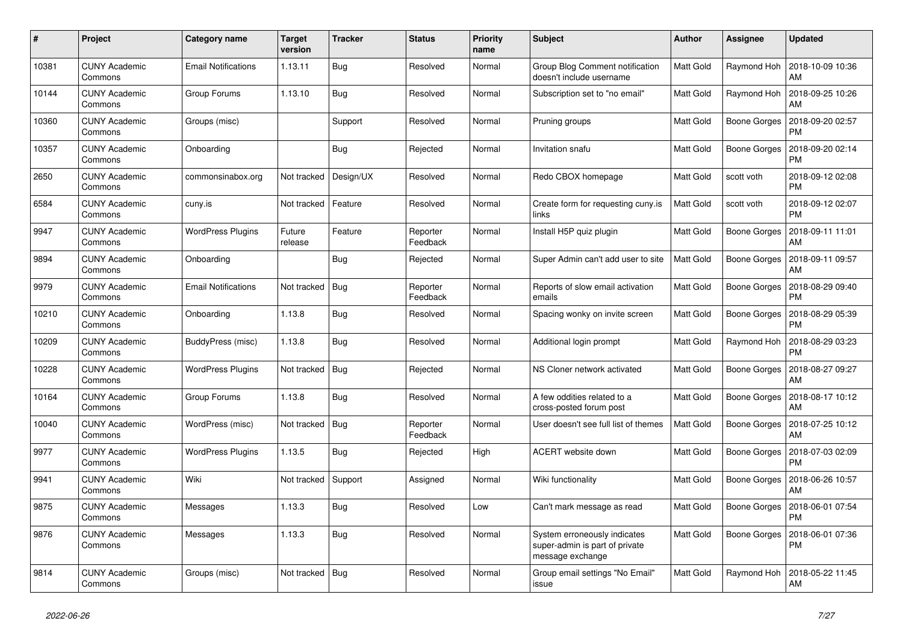| #     | Project                         | <b>Category name</b>       | <b>Target</b><br>version | <b>Tracker</b> | <b>Status</b>        | <b>Priority</b><br>name | <b>Subject</b>                                                                     | <b>Author</b>    | Assignee            | Updated                       |
|-------|---------------------------------|----------------------------|--------------------------|----------------|----------------------|-------------------------|------------------------------------------------------------------------------------|------------------|---------------------|-------------------------------|
| 10381 | <b>CUNY Academic</b><br>Commons | <b>Email Notifications</b> | 1.13.11                  | <b>Bug</b>     | Resolved             | Normal                  | Group Blog Comment notification<br>doesn't include username                        | Matt Gold        | Raymond Hoh         | 2018-10-09 10:36<br>AM        |
| 10144 | <b>CUNY Academic</b><br>Commons | Group Forums               | 1.13.10                  | <b>Bug</b>     | Resolved             | Normal                  | Subscription set to "no email"                                                     | Matt Gold        | Raymond Hoh         | 2018-09-25 10:26<br>AM        |
| 10360 | <b>CUNY Academic</b><br>Commons | Groups (misc)              |                          | Support        | Resolved             | Normal                  | Pruning groups                                                                     | Matt Gold        | Boone Gorges        | 2018-09-20 02:57<br>PM        |
| 10357 | <b>CUNY Academic</b><br>Commons | Onboarding                 |                          | <b>Bug</b>     | Rejected             | Normal                  | Invitation snafu                                                                   | Matt Gold        | Boone Gorges        | 2018-09-20 02:14<br><b>PM</b> |
| 2650  | <b>CUNY Academic</b><br>Commons | commonsinabox.org          | Not tracked              | Design/UX      | Resolved             | Normal                  | Redo CBOX homepage                                                                 | Matt Gold        | scott voth          | 2018-09-12 02:08<br><b>PM</b> |
| 6584  | <b>CUNY Academic</b><br>Commons | cuny.is                    | Not tracked              | Feature        | Resolved             | Normal                  | Create form for requesting cuny.is<br>links                                        | Matt Gold        | scott voth          | 2018-09-12 02:07<br><b>PM</b> |
| 9947  | <b>CUNY Academic</b><br>Commons | <b>WordPress Plugins</b>   | Future<br>release        | Feature        | Reporter<br>Feedback | Normal                  | Install H5P quiz plugin                                                            | Matt Gold        | Boone Gorges        | 2018-09-11 11:01<br>AM        |
| 9894  | <b>CUNY Academic</b><br>Commons | Onboarding                 |                          | Bug            | Rejected             | Normal                  | Super Admin can't add user to site                                                 | <b>Matt Gold</b> | Boone Gorges        | 2018-09-11 09:57<br>AM        |
| 9979  | <b>CUNY Academic</b><br>Commons | Email Notifications        | Not tracked              | Bug            | Reporter<br>Feedback | Normal                  | Reports of slow email activation<br>emails                                         | Matt Gold        | Boone Gorges        | 2018-08-29 09:40<br>PM        |
| 10210 | <b>CUNY Academic</b><br>Commons | Onboarding                 | 1.13.8                   | Bug            | Resolved             | Normal                  | Spacing wonky on invite screen                                                     | Matt Gold        | Boone Gorges        | 2018-08-29 05:39<br>PM        |
| 10209 | <b>CUNY Academic</b><br>Commons | BuddyPress (misc)          | 1.13.8                   | <b>Bug</b>     | Resolved             | Normal                  | Additional login prompt                                                            | Matt Gold        | Raymond Hoh         | 2018-08-29 03:23<br>РM        |
| 10228 | <b>CUNY Academic</b><br>Commons | <b>WordPress Plugins</b>   | Not tracked              | Bug            | Rejected             | Normal                  | NS Cloner network activated                                                        | Matt Gold        | Boone Gorges        | 2018-08-27 09:27<br>AM        |
| 10164 | <b>CUNY Academic</b><br>Commons | Group Forums               | 1.13.8                   | <b>Bug</b>     | Resolved             | Normal                  | A few oddities related to a<br>cross-posted forum post                             | Matt Gold        | Boone Gorges        | 2018-08-17 10:12<br>AM        |
| 10040 | <b>CUNY Academic</b><br>Commons | WordPress (misc)           | Not tracked              | Bug            | Reporter<br>Feedback | Normal                  | User doesn't see full list of themes                                               | <b>Matt Gold</b> | Boone Gorges        | 2018-07-25 10:12<br>AM        |
| 9977  | <b>CUNY Academic</b><br>Commons | <b>WordPress Plugins</b>   | 1.13.5                   | Bug            | Rejected             | High                    | ACERT website down                                                                 | Matt Gold        | <b>Boone Gorges</b> | 2018-07-03 02:09<br><b>PM</b> |
| 9941  | <b>CUNY Academic</b><br>Commons | Wiki                       | Not tracked              | Support        | Assigned             | Normal                  | Wiki functionality                                                                 | Matt Gold        | Boone Gorges        | 2018-06-26 10:57<br>AM        |
| 9875  | <b>CUNY Academic</b><br>Commons | Messages                   | 1.13.3                   | <b>Bug</b>     | Resolved             | Low                     | Can't mark message as read                                                         | Matt Gold        | Boone Gorges        | 2018-06-01 07:54<br><b>PM</b> |
| 9876  | <b>CUNY Academic</b><br>Commons | Messages                   | 1.13.3                   | Bug            | Resolved             | Normal                  | System erroneously indicates<br>super-admin is part of private<br>message exchange | Matt Gold        | <b>Boone Gorges</b> | 2018-06-01 07:36<br>PM        |
| 9814  | <b>CUNY Academic</b><br>Commons | Groups (misc)              | Not tracked              | Bug            | Resolved             | Normal                  | Group email settings "No Email"<br>issue                                           | Matt Gold        | Raymond Hoh         | 2018-05-22 11:45<br>AM        |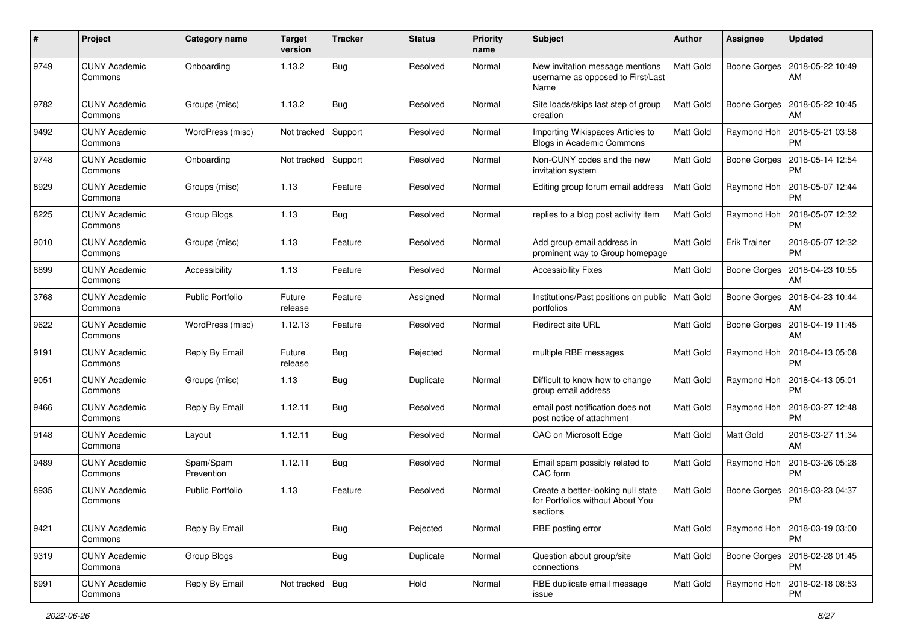| #    | Project                         | <b>Category name</b>    | <b>Target</b><br>version | <b>Tracker</b> | <b>Status</b> | <b>Priority</b><br>name | Subject                                                                            | <b>Author</b>    | <b>Assignee</b>     | <b>Updated</b>                |
|------|---------------------------------|-------------------------|--------------------------|----------------|---------------|-------------------------|------------------------------------------------------------------------------------|------------------|---------------------|-------------------------------|
| 9749 | <b>CUNY Academic</b><br>Commons | Onboarding              | 1.13.2                   | Bug            | Resolved      | Normal                  | New invitation message mentions<br>username as opposed to First/Last<br>Name       | <b>Matt Gold</b> | <b>Boone Gorges</b> | 2018-05-22 10:49<br>AM        |
| 9782 | <b>CUNY Academic</b><br>Commons | Groups (misc)           | 1.13.2                   | <b>Bug</b>     | Resolved      | Normal                  | Site loads/skips last step of group<br>creation                                    | <b>Matt Gold</b> | Boone Gorges        | 2018-05-22 10:45<br>AM        |
| 9492 | <b>CUNY Academic</b><br>Commons | WordPress (misc)        | Not tracked              | Support        | Resolved      | Normal                  | Importing Wikispaces Articles to<br>Blogs in Academic Commons                      | Matt Gold        | Raymond Hoh         | 2018-05-21 03:58<br><b>PM</b> |
| 9748 | <b>CUNY Academic</b><br>Commons | Onboarding              | Not tracked              | Support        | Resolved      | Normal                  | Non-CUNY codes and the new<br>invitation system                                    | Matt Gold        | Boone Gorges        | 2018-05-14 12:54<br><b>PM</b> |
| 8929 | <b>CUNY Academic</b><br>Commons | Groups (misc)           | 1.13                     | Feature        | Resolved      | Normal                  | Editing group forum email address                                                  | <b>Matt Gold</b> | Raymond Hoh         | 2018-05-07 12:44<br><b>PM</b> |
| 8225 | <b>CUNY Academic</b><br>Commons | Group Blogs             | 1.13                     | Bug            | Resolved      | Normal                  | replies to a blog post activity item                                               | <b>Matt Gold</b> | Raymond Hoh         | 2018-05-07 12:32<br><b>PM</b> |
| 9010 | <b>CUNY Academic</b><br>Commons | Groups (misc)           | 1.13                     | Feature        | Resolved      | Normal                  | Add group email address in<br>prominent way to Group homepage                      | Matt Gold        | <b>Erik Trainer</b> | 2018-05-07 12:32<br><b>PM</b> |
| 8899 | <b>CUNY Academic</b><br>Commons | Accessibility           | 1.13                     | Feature        | Resolved      | Normal                  | <b>Accessibility Fixes</b>                                                         | Matt Gold        | <b>Boone Gorges</b> | 2018-04-23 10:55<br>AM        |
| 3768 | <b>CUNY Academic</b><br>Commons | <b>Public Portfolio</b> | Future<br>release        | Feature        | Assigned      | Normal                  | Institutions/Past positions on public<br>portfolios                                | Matt Gold        | <b>Boone Gorges</b> | 2018-04-23 10:44<br>AM        |
| 9622 | <b>CUNY Academic</b><br>Commons | WordPress (misc)        | 1.12.13                  | Feature        | Resolved      | Normal                  | Redirect site URL                                                                  | <b>Matt Gold</b> | Boone Gorges        | 2018-04-19 11:45<br>AM        |
| 9191 | <b>CUNY Academic</b><br>Commons | Reply By Email          | Future<br>release        | Bug            | Rejected      | Normal                  | multiple RBE messages                                                              | Matt Gold        | Raymond Hoh         | 2018-04-13 05:08<br><b>PM</b> |
| 9051 | <b>CUNY Academic</b><br>Commons | Groups (misc)           | 1.13                     | Bug            | Duplicate     | Normal                  | Difficult to know how to change<br>group email address                             | Matt Gold        | Raymond Hoh         | 2018-04-13 05:01<br><b>PM</b> |
| 9466 | <b>CUNY Academic</b><br>Commons | Reply By Email          | 1.12.11                  | Bug            | Resolved      | Normal                  | email post notification does not<br>post notice of attachment                      | Matt Gold        | Raymond Hoh         | 2018-03-27 12:48<br><b>PM</b> |
| 9148 | <b>CUNY Academic</b><br>Commons | Layout                  | 1.12.11                  | Bug            | Resolved      | Normal                  | CAC on Microsoft Edge                                                              | Matt Gold        | Matt Gold           | 2018-03-27 11:34<br>AM        |
| 9489 | <b>CUNY Academic</b><br>Commons | Spam/Spam<br>Prevention | 1.12.11                  | Bug            | Resolved      | Normal                  | Email spam possibly related to<br>CAC form                                         | Matt Gold        | Raymond Hoh         | 2018-03-26 05:28<br><b>PM</b> |
| 8935 | <b>CUNY Academic</b><br>Commons | <b>Public Portfolio</b> | 1.13                     | Feature        | Resolved      | Normal                  | Create a better-looking null state<br>for Portfolios without About You<br>sections | Matt Gold        | <b>Boone Gorges</b> | 2018-03-23 04:37<br><b>PM</b> |
| 9421 | <b>CUNY Academic</b><br>Commons | Reply By Email          |                          | <b>Bug</b>     | Rejected      | Normal                  | RBE posting error                                                                  | Matt Gold        | Raymond Hoh         | 2018-03-19 03:00<br><b>PM</b> |
| 9319 | <b>CUNY Academic</b><br>Commons | Group Blogs             |                          | <b>Bug</b>     | Duplicate     | Normal                  | Question about group/site<br>connections                                           | Matt Gold        | Boone Gorges        | 2018-02-28 01:45<br><b>PM</b> |
| 8991 | <b>CUNY Academic</b><br>Commons | Reply By Email          | Not tracked   Bug        |                | Hold          | Normal                  | RBE duplicate email message<br>issue                                               | Matt Gold        | Raymond Hoh         | 2018-02-18 08:53<br><b>PM</b> |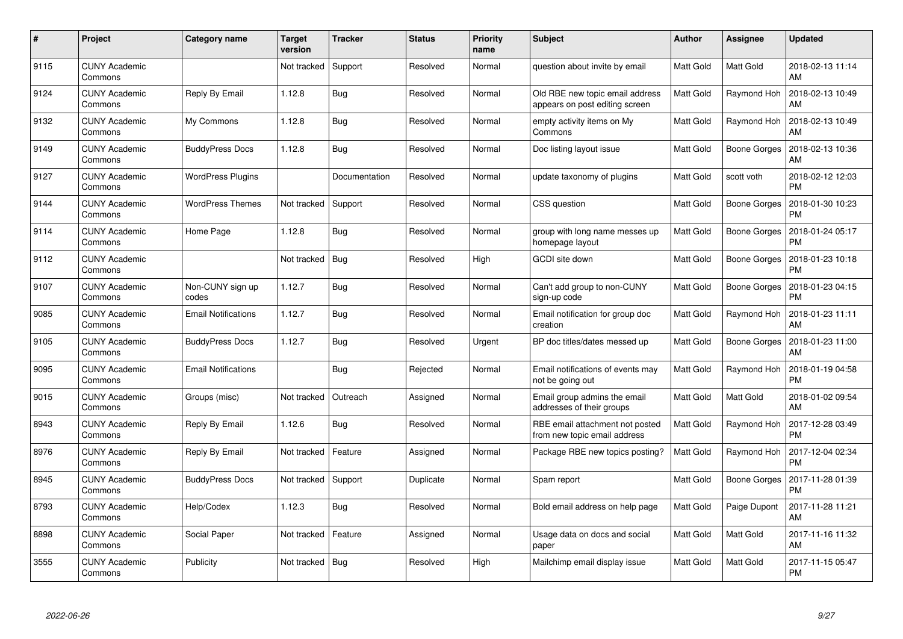| #    | Project                         | <b>Category name</b>       | <b>Target</b><br>version | <b>Tracker</b> | <b>Status</b> | <b>Priority</b><br>name | <b>Subject</b>                                                    | Author           | <b>Assignee</b>     | <b>Updated</b>                |
|------|---------------------------------|----------------------------|--------------------------|----------------|---------------|-------------------------|-------------------------------------------------------------------|------------------|---------------------|-------------------------------|
| 9115 | <b>CUNY Academic</b><br>Commons |                            | Not tracked              | Support        | Resolved      | Normal                  | question about invite by email                                    | Matt Gold        | <b>Matt Gold</b>    | 2018-02-13 11:14<br>AM        |
| 9124 | <b>CUNY Academic</b><br>Commons | Reply By Email             | 1.12.8                   | Bug            | Resolved      | Normal                  | Old RBE new topic email address<br>appears on post editing screen | Matt Gold        | Raymond Hoh         | 2018-02-13 10:49<br>AM        |
| 9132 | <b>CUNY Academic</b><br>Commons | My Commons                 | 1.12.8                   | Bug            | Resolved      | Normal                  | empty activity items on My<br>Commons                             | <b>Matt Gold</b> | Raymond Hoh         | 2018-02-13 10:49<br>AM        |
| 9149 | <b>CUNY Academic</b><br>Commons | <b>BuddyPress Docs</b>     | 1.12.8                   | <b>Bug</b>     | Resolved      | Normal                  | Doc listing layout issue                                          | Matt Gold        | Boone Gorges        | 2018-02-13 10:36<br>AM        |
| 9127 | <b>CUNY Academic</b><br>Commons | <b>WordPress Plugins</b>   |                          | Documentation  | Resolved      | Normal                  | update taxonomy of plugins                                        | Matt Gold        | scott voth          | 2018-02-12 12:03<br><b>PM</b> |
| 9144 | <b>CUNY Academic</b><br>Commons | <b>WordPress Themes</b>    | Not tracked              | Support        | Resolved      | Normal                  | CSS question                                                      | Matt Gold        | Boone Gorges        | 2018-01-30 10:23<br><b>PM</b> |
| 9114 | <b>CUNY Academic</b><br>Commons | Home Page                  | 1.12.8                   | <b>Bug</b>     | Resolved      | Normal                  | group with long name messes up<br>homepage layout                 | Matt Gold        | <b>Boone Gorges</b> | 2018-01-24 05:17<br><b>PM</b> |
| 9112 | <b>CUNY Academic</b><br>Commons |                            | Not tracked              | <b>Bug</b>     | Resolved      | High                    | GCDI site down                                                    | Matt Gold        | Boone Gorges        | 2018-01-23 10:18<br><b>PM</b> |
| 9107 | <b>CUNY Academic</b><br>Commons | Non-CUNY sign up<br>codes  | 1.12.7                   | Bug            | Resolved      | Normal                  | Can't add group to non-CUNY<br>sign-up code                       | Matt Gold        | Boone Gorges        | 2018-01-23 04:15<br><b>PM</b> |
| 9085 | <b>CUNY Academic</b><br>Commons | <b>Email Notifications</b> | 1.12.7                   | Bug            | Resolved      | Normal                  | Email notification for group doc<br>creation                      | Matt Gold        | Raymond Hoh         | 2018-01-23 11:11<br>AM        |
| 9105 | <b>CUNY Academic</b><br>Commons | <b>BuddyPress Docs</b>     | 1.12.7                   | Bug            | Resolved      | Urgent                  | BP doc titles/dates messed up                                     | Matt Gold        | Boone Gorges        | 2018-01-23 11:00<br>AM        |
| 9095 | <b>CUNY Academic</b><br>Commons | <b>Email Notifications</b> |                          | <b>Bug</b>     | Rejected      | Normal                  | Email notifications of events may<br>not be going out             | Matt Gold        | Raymond Hoh         | 2018-01-19 04:58<br><b>PM</b> |
| 9015 | <b>CUNY Academic</b><br>Commons | Groups (misc)              | Not tracked              | Outreach       | Assigned      | Normal                  | Email group admins the email<br>addresses of their groups         | Matt Gold        | Matt Gold           | 2018-01-02 09:54<br>AM        |
| 8943 | <b>CUNY Academic</b><br>Commons | Reply By Email             | 1.12.6                   | Bug            | Resolved      | Normal                  | RBE email attachment not posted<br>from new topic email address   | Matt Gold        | Raymond Hoh         | 2017-12-28 03:49<br><b>PM</b> |
| 8976 | <b>CUNY Academic</b><br>Commons | Reply By Email             | Not tracked              | Feature        | Assigned      | Normal                  | Package RBE new topics posting?                                   | Matt Gold        | Raymond Hoh         | 2017-12-04 02:34<br><b>PM</b> |
| 8945 | <b>CUNY Academic</b><br>Commons | <b>BuddyPress Docs</b>     | Not tracked              | Support        | Duplicate     | Normal                  | Spam report                                                       | Matt Gold        | Boone Gorges        | 2017-11-28 01:39<br><b>PM</b> |
| 8793 | <b>CUNY Academic</b><br>Commons | Help/Codex                 | 1.12.3                   | Bug            | Resolved      | Normal                  | Bold email address on help page                                   | Matt Gold        | Paige Dupont        | 2017-11-28 11:21<br>AM        |
| 8898 | <b>CUNY Academic</b><br>Commons | Social Paper               | Not tracked              | Feature        | Assigned      | Normal                  | Usage data on docs and social<br>paper                            | Matt Gold        | Matt Gold           | 2017-11-16 11:32<br>AM        |
| 3555 | CUNY Academic<br>Commons        | Publicity                  | Not tracked              | Bug            | Resolved      | High                    | Mailchimp email display issue                                     | Matt Gold        | <b>Matt Gold</b>    | 2017-11-15 05:47<br>PM        |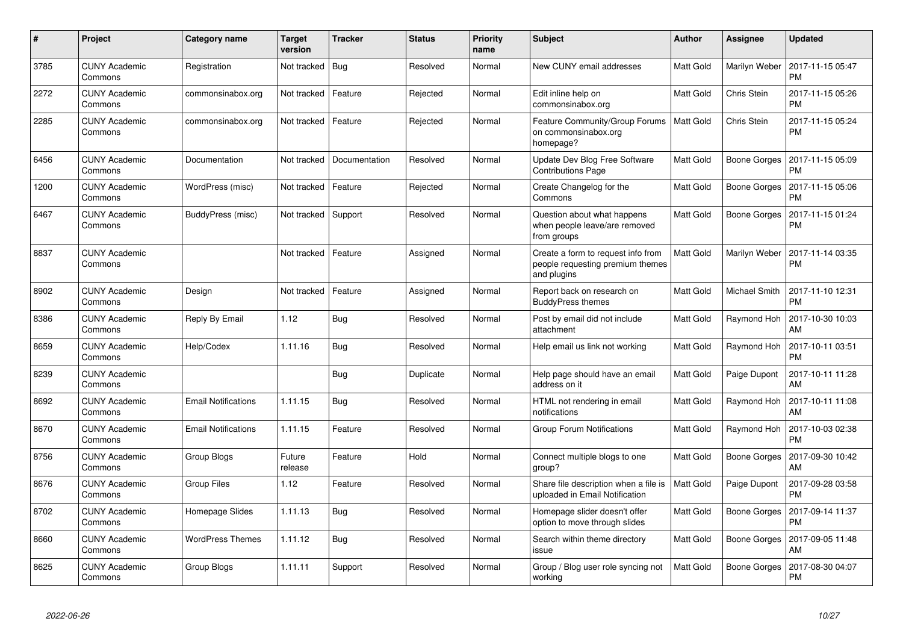| #    | Project                         | Category name              | <b>Target</b><br>version | <b>Tracker</b> | <b>Status</b> | <b>Priority</b><br>name | <b>Subject</b>                                                                        | <b>Author</b>    | <b>Assignee</b>      | <b>Updated</b>                |
|------|---------------------------------|----------------------------|--------------------------|----------------|---------------|-------------------------|---------------------------------------------------------------------------------------|------------------|----------------------|-------------------------------|
| 3785 | <b>CUNY Academic</b><br>Commons | Registration               | Not tracked              | Bug            | Resolved      | Normal                  | New CUNY email addresses                                                              | <b>Matt Gold</b> | Marilyn Weber        | 2017-11-15 05:47<br>PM        |
| 2272 | CUNY Academic<br>Commons        | commonsinabox.org          | Not tracked              | Feature        | Rejected      | Normal                  | Edit inline help on<br>commonsinabox.org                                              | <b>Matt Gold</b> | Chris Stein          | 2017-11-15 05:26<br><b>PM</b> |
| 2285 | <b>CUNY Academic</b><br>Commons | commonsinabox.org          | Not tracked              | Feature        | Rejected      | Normal                  | Feature Community/Group Forums<br>on commonsinabox.org<br>homepage?                   | <b>Matt Gold</b> | Chris Stein          | 2017-11-15 05:24<br><b>PM</b> |
| 6456 | <b>CUNY Academic</b><br>Commons | Documentation              | Not tracked              | Documentation  | Resolved      | Normal                  | Update Dev Blog Free Software<br><b>Contributions Page</b>                            | Matt Gold        | Boone Gorges         | 2017-11-15 05:09<br>PM        |
| 1200 | <b>CUNY Academic</b><br>Commons | WordPress (misc)           | Not tracked              | Feature        | Rejected      | Normal                  | Create Changelog for the<br>Commons                                                   | <b>Matt Gold</b> | Boone Gorges         | 2017-11-15 05:06<br><b>PM</b> |
| 6467 | <b>CUNY Academic</b><br>Commons | BuddyPress (misc)          | Not tracked   Support    |                | Resolved      | Normal                  | Question about what happens<br>when people leave/are removed<br>from groups           | Matt Gold        | Boone Gorges         | 2017-11-15 01:24<br>PM        |
| 8837 | <b>CUNY Academic</b><br>Commons |                            | Not tracked              | Feature        | Assigned      | Normal                  | Create a form to request info from<br>people requesting premium themes<br>and plugins | <b>Matt Gold</b> | Marilyn Weber        | 2017-11-14 03:35<br><b>PM</b> |
| 8902 | <b>CUNY Academic</b><br>Commons | Design                     | Not tracked              | Feature        | Assigned      | Normal                  | Report back on research on<br><b>BuddyPress themes</b>                                | <b>Matt Gold</b> | <b>Michael Smith</b> | 2017-11-10 12:31<br><b>PM</b> |
| 8386 | <b>CUNY Academic</b><br>Commons | Reply By Email             | 1.12                     | <b>Bug</b>     | Resolved      | Normal                  | Post by email did not include<br>attachment                                           | <b>Matt Gold</b> | Raymond Hoh          | 2017-10-30 10:03<br>AM        |
| 8659 | <b>CUNY Academic</b><br>Commons | Help/Codex                 | 1.11.16                  | Bug            | Resolved      | Normal                  | Help email us link not working                                                        | <b>Matt Gold</b> | Raymond Hoh          | 2017-10-11 03:51<br>PM        |
| 8239 | <b>CUNY Academic</b><br>Commons |                            |                          | <b>Bug</b>     | Duplicate     | Normal                  | Help page should have an email<br>address on it                                       | Matt Gold        | Paige Dupont         | 2017-10-11 11:28<br>AM        |
| 8692 | <b>CUNY Academic</b><br>Commons | <b>Email Notifications</b> | 1.11.15                  | Bug            | Resolved      | Normal                  | HTML not rendering in email<br>notifications                                          | Matt Gold        | Raymond Hoh          | 2017-10-11 11:08<br><b>AM</b> |
| 8670 | <b>CUNY Academic</b><br>Commons | <b>Email Notifications</b> | 1.11.15                  | Feature        | Resolved      | Normal                  | Group Forum Notifications                                                             | <b>Matt Gold</b> | Raymond Hoh          | 2017-10-03 02:38<br>PM        |
| 8756 | <b>CUNY Academic</b><br>Commons | Group Blogs                | Future<br>release        | Feature        | Hold          | Normal                  | Connect multiple blogs to one<br>group?                                               | Matt Gold        | Boone Gorges         | 2017-09-30 10:42<br>AM        |
| 8676 | <b>CUNY Academic</b><br>Commons | <b>Group Files</b>         | 1.12                     | Feature        | Resolved      | Normal                  | Share file description when a file is<br>uploaded in Email Notification               | <b>Matt Gold</b> | Paige Dupont         | 2017-09-28 03:58<br>PM        |
| 8702 | <b>CUNY Academic</b><br>Commons | Homepage Slides            | 1.11.13                  | <b>Bug</b>     | Resolved      | Normal                  | Homepage slider doesn't offer<br>option to move through slides                        | <b>Matt Gold</b> | Boone Gorges         | 2017-09-14 11:37<br><b>PM</b> |
| 8660 | <b>CUNY Academic</b><br>Commons | <b>WordPress Themes</b>    | 1.11.12                  | <b>Bug</b>     | Resolved      | Normal                  | Search within theme directory<br>issue                                                | <b>Matt Gold</b> | Boone Gorges         | 2017-09-05 11:48<br>AM        |
| 8625 | <b>CUNY Academic</b><br>Commons | Group Blogs                | 1.11.11                  | Support        | Resolved      | Normal                  | Group / Blog user role syncing not<br>working                                         | Matt Gold        | Boone Gorges         | 2017-08-30 04:07<br>РM        |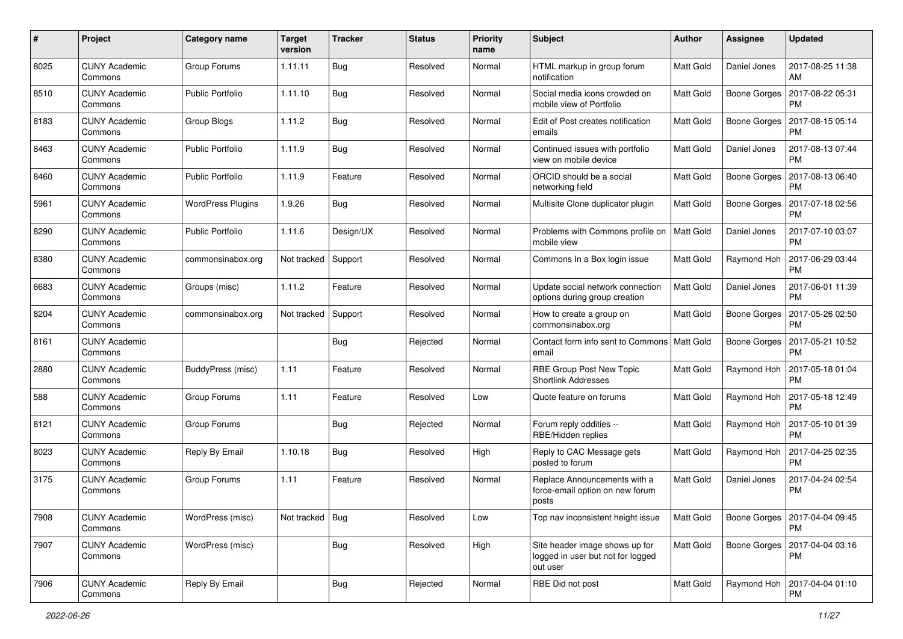| $\#$ | Project                         | <b>Category name</b>     | <b>Target</b><br>version | <b>Tracker</b> | <b>Status</b> | <b>Priority</b><br>name | Subject                                                                         | Author    | Assignee            | <b>Updated</b>                               |
|------|---------------------------------|--------------------------|--------------------------|----------------|---------------|-------------------------|---------------------------------------------------------------------------------|-----------|---------------------|----------------------------------------------|
| 8025 | <b>CUNY Academic</b><br>Commons | Group Forums             | 1.11.11                  | Bug            | Resolved      | Normal                  | HTML markup in group forum<br>notification                                      | Matt Gold | Daniel Jones        | 2017-08-25 11:38<br>AM                       |
| 8510 | <b>CUNY Academic</b><br>Commons | <b>Public Portfolio</b>  | 1.11.10                  | Bug            | Resolved      | Normal                  | Social media icons crowded on<br>mobile view of Portfolio                       | Matt Gold | Boone Gorges        | 2017-08-22 05:31<br><b>PM</b>                |
| 8183 | CUNY Academic<br>Commons        | Group Blogs              | 1.11.2                   | Bug            | Resolved      | Normal                  | Edit of Post creates notification<br>emails                                     | Matt Gold | <b>Boone Gorges</b> | 2017-08-15 05:14<br><b>PM</b>                |
| 8463 | <b>CUNY Academic</b><br>Commons | <b>Public Portfolio</b>  | 1.11.9                   | Bug            | Resolved      | Normal                  | Continued issues with portfolio<br>view on mobile device                        | Matt Gold | Daniel Jones        | 2017-08-13 07:44<br><b>PM</b>                |
| 8460 | <b>CUNY Academic</b><br>Commons | <b>Public Portfolio</b>  | 1.11.9                   | Feature        | Resolved      | Normal                  | ORCID should be a social<br>networking field                                    | Matt Gold | Boone Gorges        | 2017-08-13 06:40<br><b>PM</b>                |
| 5961 | <b>CUNY Academic</b><br>Commons | <b>WordPress Plugins</b> | 1.9.26                   | Bug            | Resolved      | Normal                  | Multisite Clone duplicator plugin                                               | Matt Gold | Boone Gorges        | 2017-07-18 02:56<br><b>PM</b>                |
| 8290 | <b>CUNY Academic</b><br>Commons | <b>Public Portfolio</b>  | 1.11.6                   | Design/UX      | Resolved      | Normal                  | Problems with Commons profile on<br>mobile view                                 | Matt Gold | Daniel Jones        | 2017-07-10 03:07<br><b>PM</b>                |
| 8380 | <b>CUNY Academic</b><br>Commons | commonsinabox.org        | Not tracked              | Support        | Resolved      | Normal                  | Commons In a Box login issue                                                    | Matt Gold | Raymond Hoh         | 2017-06-29 03:44<br><b>PM</b>                |
| 6683 | <b>CUNY Academic</b><br>Commons | Groups (misc)            | 1.11.2                   | Feature        | Resolved      | Normal                  | Update social network connection<br>options during group creation               | Matt Gold | Daniel Jones        | 2017-06-01 11:39<br><b>PM</b>                |
| 8204 | <b>CUNY Academic</b><br>Commons | commonsinabox.org        | Not tracked              | Support        | Resolved      | Normal                  | How to create a group on<br>commonsinabox.org                                   | Matt Gold | <b>Boone Gorges</b> | 2017-05-26 02:50<br><b>PM</b>                |
| 8161 | <b>CUNY Academic</b><br>Commons |                          |                          | Bug            | Rejected      | Normal                  | Contact form info sent to Commons   Matt Gold<br>email                          |           | <b>Boone Gorges</b> | 2017-05-21 10:52<br><b>PM</b>                |
| 2880 | <b>CUNY Academic</b><br>Commons | BuddyPress (misc)        | 1.11                     | Feature        | Resolved      | Normal                  | RBE Group Post New Topic<br><b>Shortlink Addresses</b>                          | Matt Gold | Raymond Hoh         | 2017-05-18 01:04<br><b>PM</b>                |
| 588  | <b>CUNY Academic</b><br>Commons | Group Forums             | 1.11                     | Feature        | Resolved      | Low                     | Quote feature on forums                                                         | Matt Gold | Raymond Hoh         | 2017-05-18 12:49<br><b>PM</b>                |
| 8121 | <b>CUNY Academic</b><br>Commons | Group Forums             |                          | Bug            | Rejected      | Normal                  | Forum reply oddities --<br>RBE/Hidden replies                                   | Matt Gold | Raymond Hoh         | 2017-05-10 01:39<br><b>PM</b>                |
| 8023 | <b>CUNY Academic</b><br>Commons | Reply By Email           | 1.10.18                  | Bug            | Resolved      | High                    | Reply to CAC Message gets<br>posted to forum                                    | Matt Gold | Raymond Hoh         | 2017-04-25 02:35<br><b>PM</b>                |
| 3175 | <b>CUNY Academic</b><br>Commons | Group Forums             | 1.11                     | Feature        | Resolved      | Normal                  | Replace Announcements with a<br>force-email option on new forum<br>posts        | Matt Gold | Daniel Jones        | 2017-04-24 02:54<br><b>PM</b>                |
| 7908 | <b>CUNY Academic</b><br>Commons | WordPress (misc)         | Not tracked   Bug        |                | Resolved      | Low                     | Top nav inconsistent height issue                                               | Matt Gold |                     | Boone Gorges   2017-04-04 09:45<br><b>PM</b> |
| 7907 | <b>CUNY Academic</b><br>Commons | WordPress (misc)         |                          | <b>Bug</b>     | Resolved      | High                    | Site header image shows up for<br>logged in user but not for logged<br>out user | Matt Gold | Boone Gorges        | 2017-04-04 03:16<br>PM                       |
| 7906 | <b>CUNY Academic</b><br>Commons | Reply By Email           |                          | <b>Bug</b>     | Rejected      | Normal                  | RBE Did not post                                                                | Matt Gold | Raymond Hoh         | 2017-04-04 01:10<br><b>PM</b>                |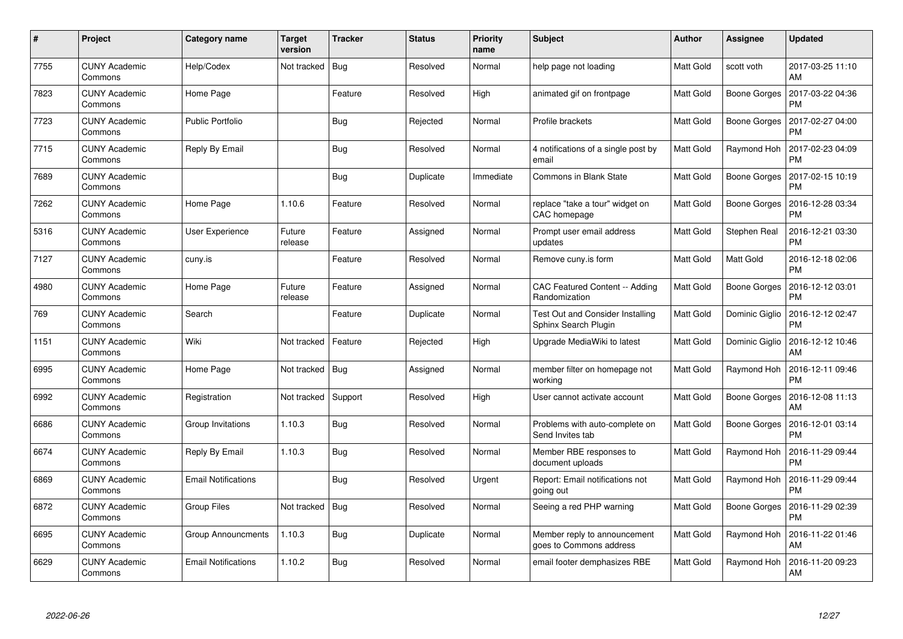| #    | Project                         | <b>Category name</b>       | <b>Target</b><br>version | <b>Tracker</b> | <b>Status</b> | <b>Priority</b><br>name | <b>Subject</b>                                                  | Author           | <b>Assignee</b>     | <b>Updated</b>                |
|------|---------------------------------|----------------------------|--------------------------|----------------|---------------|-------------------------|-----------------------------------------------------------------|------------------|---------------------|-------------------------------|
| 7755 | <b>CUNY Academic</b><br>Commons | Help/Codex                 | Not tracked              | <b>Bug</b>     | Resolved      | Normal                  | help page not loading                                           | Matt Gold        | scott voth          | 2017-03-25 11:10<br>AM        |
| 7823 | <b>CUNY Academic</b><br>Commons | Home Page                  |                          | Feature        | Resolved      | High                    | animated gif on frontpage                                       | Matt Gold        | Boone Gorges        | 2017-03-22 04:36<br><b>PM</b> |
| 7723 | <b>CUNY Academic</b><br>Commons | <b>Public Portfolio</b>    |                          | <b>Bug</b>     | Rejected      | Normal                  | Profile brackets                                                | Matt Gold        | <b>Boone Gorges</b> | 2017-02-27 04:00<br><b>PM</b> |
| 7715 | <b>CUNY Academic</b><br>Commons | Reply By Email             |                          | <b>Bug</b>     | Resolved      | Normal                  | 4 notifications of a single post by<br>email                    | Matt Gold        | Raymond Hoh         | 2017-02-23 04:09<br><b>PM</b> |
| 7689 | <b>CUNY Academic</b><br>Commons |                            |                          | <b>Bug</b>     | Duplicate     | Immediate               | <b>Commons in Blank State</b>                                   | Matt Gold        | Boone Gorges        | 2017-02-15 10:19<br><b>PM</b> |
| 7262 | <b>CUNY Academic</b><br>Commons | Home Page                  | 1.10.6                   | Feature        | Resolved      | Normal                  | replace "take a tour" widget on<br>CAC homepage                 | Matt Gold        | Boone Gorges        | 2016-12-28 03:34<br><b>PM</b> |
| 5316 | <b>CUNY Academic</b><br>Commons | <b>User Experience</b>     | Future<br>release        | Feature        | Assigned      | Normal                  | Prompt user email address<br>updates                            | Matt Gold        | Stephen Real        | 2016-12-21 03:30<br><b>PM</b> |
| 7127 | <b>CUNY Academic</b><br>Commons | cuny.is                    |                          | Feature        | Resolved      | Normal                  | Remove cuny.is form                                             | Matt Gold        | Matt Gold           | 2016-12-18 02:06<br><b>PM</b> |
| 4980 | <b>CUNY Academic</b><br>Commons | Home Page                  | Future<br>release        | Feature        | Assigned      | Normal                  | CAC Featured Content -- Adding<br>Randomization                 | Matt Gold        | Boone Gorges        | 2016-12-12 03:01<br><b>PM</b> |
| 769  | <b>CUNY Academic</b><br>Commons | Search                     |                          | Feature        | Duplicate     | Normal                  | <b>Test Out and Consider Installing</b><br>Sphinx Search Plugin | Matt Gold        | Dominic Giglio      | 2016-12-12 02:47<br><b>PM</b> |
| 1151 | <b>CUNY Academic</b><br>Commons | Wiki                       | Not tracked              | Feature        | Rejected      | High                    | Upgrade MediaWiki to latest                                     | <b>Matt Gold</b> | Dominic Giglio      | 2016-12-12 10:46<br>AM        |
| 6995 | <b>CUNY Academic</b><br>Commons | Home Page                  | Not tracked              | Bug            | Assigned      | Normal                  | member filter on homepage not<br>workina                        | Matt Gold        | Raymond Hoh         | 2016-12-11 09:46<br><b>PM</b> |
| 6992 | <b>CUNY Academic</b><br>Commons | Registration               | Not tracked              | Support        | Resolved      | High                    | User cannot activate account                                    | <b>Matt Gold</b> | Boone Gorges        | 2016-12-08 11:13<br>AM        |
| 6686 | <b>CUNY Academic</b><br>Commons | Group Invitations          | 1.10.3                   | <b>Bug</b>     | Resolved      | Normal                  | Problems with auto-complete on<br>Send Invites tab              | Matt Gold        | Boone Gorges        | 2016-12-01 03:14<br><b>PM</b> |
| 6674 | <b>CUNY Academic</b><br>Commons | Reply By Email             | 1.10.3                   | Bug            | Resolved      | Normal                  | Member RBE responses to<br>document uploads                     | Matt Gold        | Raymond Hoh         | 2016-11-29 09:44<br><b>PM</b> |
| 6869 | <b>CUNY Academic</b><br>Commons | <b>Email Notifications</b> |                          | Bug            | Resolved      | Urgent                  | Report: Email notifications not<br>going out                    | Matt Gold        | Raymond Hoh         | 2016-11-29 09:44<br><b>PM</b> |
| 6872 | <b>CUNY Academic</b><br>Commons | Group Files                | Not tracked              | Bug            | Resolved      | Normal                  | Seeing a red PHP warning                                        | Matt Gold        | Boone Gorges        | 2016-11-29 02:39<br><b>PM</b> |
| 6695 | <b>CUNY Academic</b><br>Commons | <b>Group Announcments</b>  | 1.10.3                   | Bug            | Duplicate     | Normal                  | Member reply to announcement<br>goes to Commons address         | Matt Gold        | Raymond Hoh         | 2016-11-22 01:46<br>AM        |
| 6629 | <b>CUNY Academic</b><br>Commons | <b>Email Notifications</b> | 1.10.2                   | <b>Bug</b>     | Resolved      | Normal                  | email footer demphasizes RBE                                    | Matt Gold        | Raymond Hoh         | 2016-11-20 09:23<br>AM        |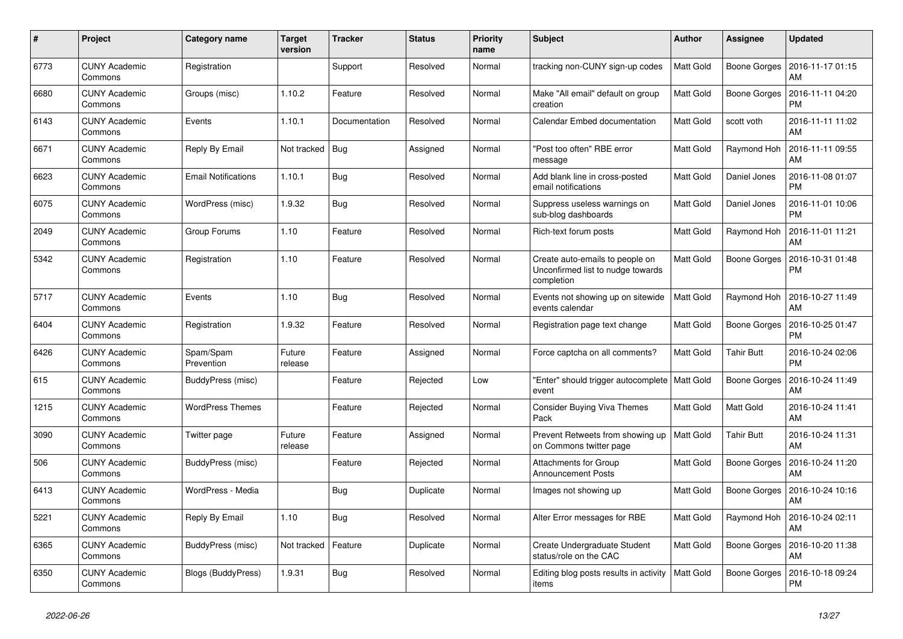| #    | Project                         | <b>Category name</b>       | <b>Target</b><br>version | <b>Tracker</b> | <b>Status</b> | <b>Priority</b><br>name | <b>Subject</b>                                                                     | <b>Author</b>    | Assignee            | <b>Updated</b>                |
|------|---------------------------------|----------------------------|--------------------------|----------------|---------------|-------------------------|------------------------------------------------------------------------------------|------------------|---------------------|-------------------------------|
| 6773 | <b>CUNY Academic</b><br>Commons | Registration               |                          | Support        | Resolved      | Normal                  | tracking non-CUNY sign-up codes                                                    | Matt Gold        | Boone Gorges        | 2016-11-17 01:15<br>AM        |
| 6680 | <b>CUNY Academic</b><br>Commons | Groups (misc)              | 1.10.2                   | Feature        | Resolved      | Normal                  | Make "All email" default on group<br>creation                                      | Matt Gold        | <b>Boone Gorges</b> | 2016-11-11 04:20<br>РM        |
| 6143 | <b>CUNY Academic</b><br>Commons | Events                     | 1.10.1                   | Documentation  | Resolved      | Normal                  | Calendar Embed documentation                                                       | Matt Gold        | scott voth          | 2016-11-11 11:02<br>AM        |
| 6671 | <b>CUNY Academic</b><br>Commons | Reply By Email             | Not tracked              | Bug            | Assigned      | Normal                  | "Post too often" RBE error<br>message                                              | Matt Gold        | Raymond Hoh         | 2016-11-11 09:55<br>AM        |
| 6623 | <b>CUNY Academic</b><br>Commons | <b>Email Notifications</b> | 1.10.1                   | Bug            | Resolved      | Normal                  | Add blank line in cross-posted<br>email notifications                              | Matt Gold        | Daniel Jones        | 2016-11-08 01:07<br><b>PM</b> |
| 6075 | <b>CUNY Academic</b><br>Commons | WordPress (misc)           | 1.9.32                   | <b>Bug</b>     | Resolved      | Normal                  | Suppress useless warnings on<br>sub-blog dashboards                                | Matt Gold        | Daniel Jones        | 2016-11-01 10:06<br><b>PM</b> |
| 2049 | <b>CUNY Academic</b><br>Commons | Group Forums               | 1.10                     | Feature        | Resolved      | Normal                  | Rich-text forum posts                                                              | Matt Gold        | Raymond Hoh         | 2016-11-01 11:21<br>AM        |
| 5342 | <b>CUNY Academic</b><br>Commons | Registration               | 1.10                     | Feature        | Resolved      | Normal                  | Create auto-emails to people on<br>Unconfirmed list to nudge towards<br>completion | Matt Gold        | Boone Gorges        | 2016-10-31 01:48<br>РM        |
| 5717 | <b>CUNY Academic</b><br>Commons | Events                     | 1.10                     | Bug            | Resolved      | Normal                  | Events not showing up on sitewide<br>events calendar                               | Matt Gold        | Raymond Hoh         | 2016-10-27 11:49<br>AM        |
| 6404 | <b>CUNY Academic</b><br>Commons | Registration               | 1.9.32                   | Feature        | Resolved      | Normal                  | Registration page text change                                                      | Matt Gold        | Boone Gorges        | 2016-10-25 01:47<br><b>PM</b> |
| 6426 | <b>CUNY Academic</b><br>Commons | Spam/Spam<br>Prevention    | Future<br>release        | Feature        | Assigned      | Normal                  | Force captcha on all comments?                                                     | Matt Gold        | <b>Tahir Butt</b>   | 2016-10-24 02:06<br><b>PM</b> |
| 615  | <b>CUNY Academic</b><br>Commons | BuddyPress (misc)          |                          | Feature        | Rejected      | Low                     | "Enter" should trigger autocomplete   Matt Gold<br>event                           |                  | Boone Gorges        | 2016-10-24 11:49<br>AM        |
| 1215 | <b>CUNY Academic</b><br>Commons | <b>WordPress Themes</b>    |                          | Feature        | Rejected      | Normal                  | <b>Consider Buying Viva Themes</b><br>Pack                                         | Matt Gold        | Matt Gold           | 2016-10-24 11:41<br><b>AM</b> |
| 3090 | <b>CUNY Academic</b><br>Commons | Twitter page               | Future<br>release        | Feature        | Assigned      | Normal                  | Prevent Retweets from showing up<br>on Commons twitter page                        | <b>Matt Gold</b> | <b>Tahir Butt</b>   | 2016-10-24 11:31<br>AM        |
| 506  | <b>CUNY Academic</b><br>Commons | BuddyPress (misc)          |                          | Feature        | Rejected      | Normal                  | <b>Attachments for Group</b><br><b>Announcement Posts</b>                          | Matt Gold        | Boone Gorges        | 2016-10-24 11:20<br>AM        |
| 6413 | <b>CUNY Academic</b><br>Commons | WordPress - Media          |                          | <b>Bug</b>     | Duplicate     | Normal                  | Images not showing up                                                              | Matt Gold        | Boone Gorges        | 2016-10-24 10:16<br><b>AM</b> |
| 5221 | <b>CUNY Academic</b><br>Commons | Reply By Email             | 1.10                     | Bug            | Resolved      | Normal                  | Alter Error messages for RBE                                                       | Matt Gold        | Raymond Hoh         | 2016-10-24 02:11<br>AM        |
| 6365 | <b>CUNY Academic</b><br>Commons | BuddyPress (misc)          | Not tracked              | Feature        | Duplicate     | Normal                  | Create Undergraduate Student<br>status/role on the CAC                             | Matt Gold        | Boone Gorges        | 2016-10-20 11:38<br>AM        |
| 6350 | <b>CUNY Academic</b><br>Commons | <b>Blogs (BuddyPress)</b>  | 1.9.31                   | <b>Bug</b>     | Resolved      | Normal                  | Editing blog posts results in activity<br>items                                    | Matt Gold        | Boone Gorges        | 2016-10-18 09:24<br><b>PM</b> |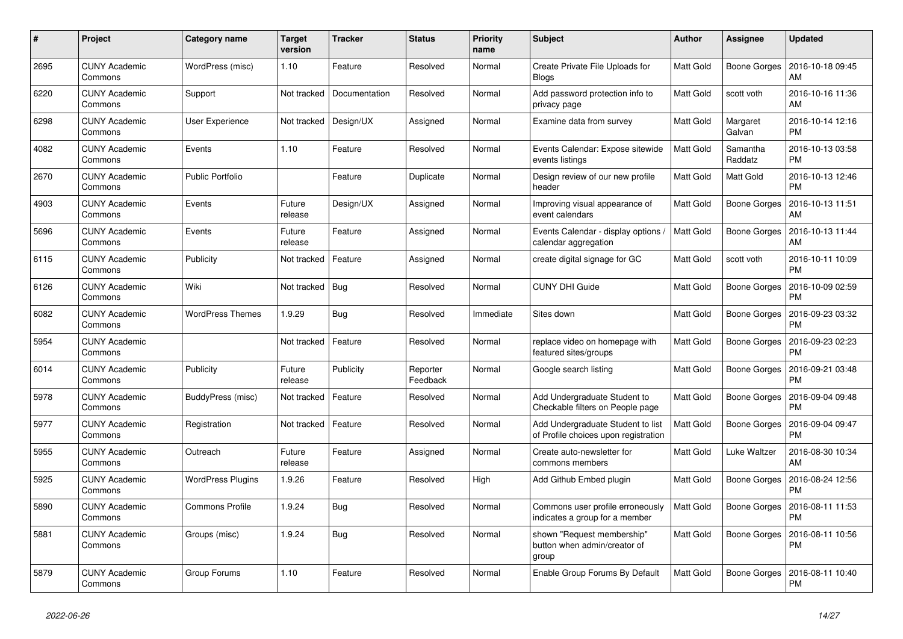| #    | Project                         | <b>Category name</b>     | <b>Target</b><br>version | <b>Tracker</b> | <b>Status</b>        | Priority<br>name | <b>Subject</b>                                                            | Author           | <b>Assignee</b>     | <b>Updated</b>                |
|------|---------------------------------|--------------------------|--------------------------|----------------|----------------------|------------------|---------------------------------------------------------------------------|------------------|---------------------|-------------------------------|
| 2695 | <b>CUNY Academic</b><br>Commons | WordPress (misc)         | 1.10                     | Feature        | Resolved             | Normal           | Create Private File Uploads for<br><b>Blogs</b>                           | Matt Gold        | Boone Gorges        | 2016-10-18 09:45<br>AM        |
| 6220 | <b>CUNY Academic</b><br>Commons | Support                  | Not tracked              | Documentation  | Resolved             | Normal           | Add password protection info to<br>privacy page                           | Matt Gold        | scott voth          | 2016-10-16 11:36<br>AM        |
| 6298 | <b>CUNY Academic</b><br>Commons | <b>User Experience</b>   | Not tracked              | Design/UX      | Assigned             | Normal           | Examine data from survey                                                  | Matt Gold        | Margaret<br>Galvan  | 2016-10-14 12:16<br><b>PM</b> |
| 4082 | <b>CUNY Academic</b><br>Commons | Events                   | 1.10                     | Feature        | Resolved             | Normal           | Events Calendar: Expose sitewide<br>events listings                       | Matt Gold        | Samantha<br>Raddatz | 2016-10-13 03:58<br><b>PM</b> |
| 2670 | <b>CUNY Academic</b><br>Commons | <b>Public Portfolio</b>  |                          | Feature        | Duplicate            | Normal           | Design review of our new profile<br>header                                | Matt Gold        | Matt Gold           | 2016-10-13 12:46<br><b>PM</b> |
| 4903 | <b>CUNY Academic</b><br>Commons | Events                   | Future<br>release        | Design/UX      | Assigned             | Normal           | Improving visual appearance of<br>event calendars                         | Matt Gold        | <b>Boone Gorges</b> | 2016-10-13 11:51<br>AM        |
| 5696 | <b>CUNY Academic</b><br>Commons | Events                   | Future<br>release        | Feature        | Assigned             | Normal           | Events Calendar - display options /<br>calendar aggregation               | <b>Matt Gold</b> | Boone Gorges        | 2016-10-13 11:44<br><b>AM</b> |
| 6115 | <b>CUNY Academic</b><br>Commons | Publicity                | Not tracked              | Feature        | Assigned             | Normal           | create digital signage for GC                                             | Matt Gold        | scott voth          | 2016-10-11 10:09<br><b>PM</b> |
| 6126 | <b>CUNY Academic</b><br>Commons | Wiki                     | Not tracked              | <b>Bug</b>     | Resolved             | Normal           | <b>CUNY DHI Guide</b>                                                     | Matt Gold        | Boone Gorges        | 2016-10-09 02:59<br><b>PM</b> |
| 6082 | <b>CUNY Academic</b><br>Commons | <b>WordPress Themes</b>  | 1.9.29                   | <b>Bug</b>     | Resolved             | Immediate        | Sites down                                                                | Matt Gold        | Boone Gorges        | 2016-09-23 03:32<br>PM        |
| 5954 | <b>CUNY Academic</b><br>Commons |                          | Not tracked              | Feature        | Resolved             | Normal           | replace video on homepage with<br>featured sites/groups                   | Matt Gold        | Boone Gorges        | 2016-09-23 02:23<br>PM        |
| 6014 | <b>CUNY Academic</b><br>Commons | Publicity                | Future<br>release        | Publicity      | Reporter<br>Feedback | Normal           | Google search listing                                                     | Matt Gold        | Boone Gorges        | 2016-09-21 03:48<br><b>PM</b> |
| 5978 | <b>CUNY Academic</b><br>Commons | BuddyPress (misc)        | Not tracked              | Feature        | Resolved             | Normal           | Add Undergraduate Student to<br>Checkable filters on People page          | Matt Gold        | Boone Gorges        | 2016-09-04 09:48<br><b>PM</b> |
| 5977 | <b>CUNY Academic</b><br>Commons | Registration             | Not tracked              | Feature        | Resolved             | Normal           | Add Undergraduate Student to list<br>of Profile choices upon registration | Matt Gold        | Boone Gorges        | 2016-09-04 09:47<br><b>PM</b> |
| 5955 | <b>CUNY Academic</b><br>Commons | Outreach                 | Future<br>release        | Feature        | Assigned             | Normal           | Create auto-newsletter for<br>commons members                             | Matt Gold        | Luke Waltzer        | 2016-08-30 10:34<br>AM        |
| 5925 | <b>CUNY Academic</b><br>Commons | <b>WordPress Plugins</b> | 1.9.26                   | Feature        | Resolved             | High             | Add Github Embed plugin                                                   | Matt Gold        | Boone Gorges        | 2016-08-24 12:56<br>РM        |
| 5890 | <b>CUNY Academic</b><br>Commons | <b>Commons Profile</b>   | 1.9.24                   | Bug            | Resolved             | Normal           | Commons user profile erroneously<br>indicates a group for a member        | <b>Matt Gold</b> | Boone Gorges        | 2016-08-11 11:53<br><b>PM</b> |
| 5881 | <b>CUNY Academic</b><br>Commons | Groups (misc)            | 1.9.24                   | Bug            | Resolved             | Normal           | shown "Request membership"<br>button when admin/creator of<br>group       | Matt Gold        | <b>Boone Gorges</b> | 2016-08-11 10:56<br>PM        |
| 5879 | <b>CUNY Academic</b><br>Commons | Group Forums             | 1.10                     | Feature        | Resolved             | Normal           | Enable Group Forums By Default                                            | Matt Gold        | Boone Gorges        | 2016-08-11 10:40<br><b>PM</b> |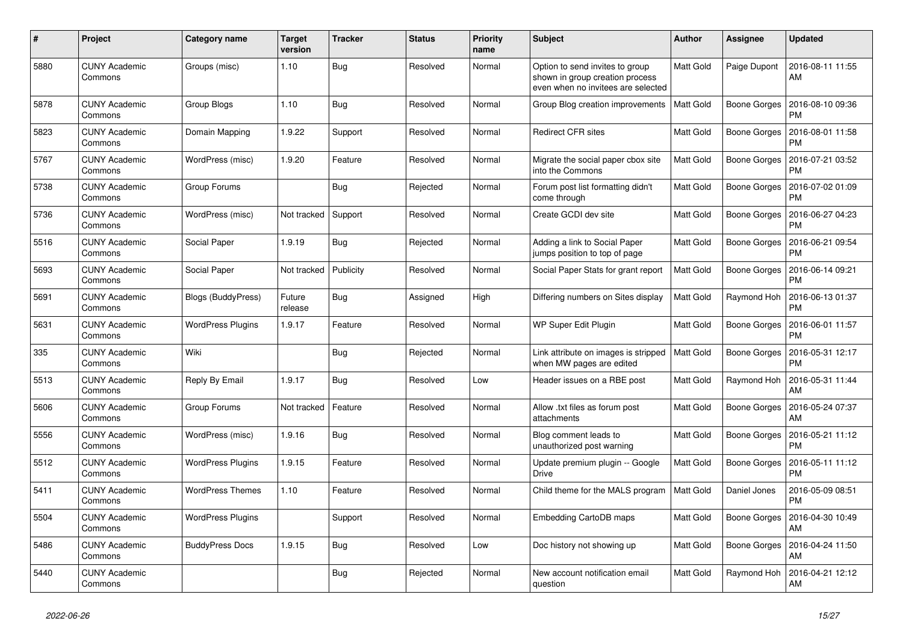| #    | Project                         | Category name             | <b>Target</b><br>version | <b>Tracker</b> | <b>Status</b> | <b>Priority</b><br>name | <b>Subject</b>                                                                                           | <b>Author</b>    | <b>Assignee</b>     | <b>Updated</b>                |
|------|---------------------------------|---------------------------|--------------------------|----------------|---------------|-------------------------|----------------------------------------------------------------------------------------------------------|------------------|---------------------|-------------------------------|
| 5880 | <b>CUNY Academic</b><br>Commons | Groups (misc)             | 1.10                     | Bug            | Resolved      | Normal                  | Option to send invites to group<br>shown in group creation process<br>even when no invitees are selected | <b>Matt Gold</b> | Paige Dupont        | 2016-08-11 11:55<br>AM        |
| 5878 | <b>CUNY Academic</b><br>Commons | Group Blogs               | 1.10                     | <b>Bug</b>     | Resolved      | Normal                  | Group Blog creation improvements                                                                         | <b>Matt Gold</b> | Boone Gorges        | 2016-08-10 09:36<br>PM        |
| 5823 | <b>CUNY Academic</b><br>Commons | Domain Mapping            | 1.9.22                   | Support        | Resolved      | Normal                  | <b>Redirect CFR sites</b>                                                                                | <b>Matt Gold</b> | Boone Gorges        | 2016-08-01 11:58<br>PM        |
| 5767 | <b>CUNY Academic</b><br>Commons | WordPress (misc)          | 1.9.20                   | Feature        | Resolved      | Normal                  | Migrate the social paper cbox site<br>into the Commons                                                   | Matt Gold        | <b>Boone Gorges</b> | 2016-07-21 03:52<br><b>PM</b> |
| 5738 | <b>CUNY Academic</b><br>Commons | Group Forums              |                          | Bug            | Rejected      | Normal                  | Forum post list formatting didn't<br>come through                                                        | Matt Gold        | Boone Gorges        | 2016-07-02 01:09<br><b>PM</b> |
| 5736 | <b>CUNY Academic</b><br>Commons | WordPress (misc)          | Not tracked              | Support        | Resolved      | Normal                  | Create GCDI dev site                                                                                     | <b>Matt Gold</b> | <b>Boone Gorges</b> | 2016-06-27 04:23<br><b>PM</b> |
| 5516 | <b>CUNY Academic</b><br>Commons | Social Paper              | 1.9.19                   | Bug            | Rejected      | Normal                  | Adding a link to Social Paper<br>jumps position to top of page                                           | <b>Matt Gold</b> | <b>Boone Gorges</b> | 2016-06-21 09:54<br>PM        |
| 5693 | <b>CUNY Academic</b><br>Commons | Social Paper              | Not tracked              | Publicity      | Resolved      | Normal                  | Social Paper Stats for grant report                                                                      | Matt Gold        | Boone Gorges        | 2016-06-14 09:21<br>PM        |
| 5691 | <b>CUNY Academic</b><br>Commons | <b>Blogs (BuddyPress)</b> | Future<br>release        | <b>Bug</b>     | Assigned      | High                    | Differing numbers on Sites display                                                                       | <b>Matt Gold</b> | Raymond Hoh         | 2016-06-13 01:37<br>PM        |
| 5631 | <b>CUNY Academic</b><br>Commons | <b>WordPress Plugins</b>  | 1.9.17                   | Feature        | Resolved      | Normal                  | WP Super Edit Plugin                                                                                     | <b>Matt Gold</b> | Boone Gorges        | 2016-06-01 11:57<br>PM        |
| 335  | <b>CUNY Academic</b><br>Commons | Wiki                      |                          | <b>Bug</b>     | Rejected      | Normal                  | Link attribute on images is stripped<br>when MW pages are edited                                         | <b>Matt Gold</b> | Boone Gorges        | 2016-05-31 12:17<br><b>PM</b> |
| 5513 | <b>CUNY Academic</b><br>Commons | Reply By Email            | 1.9.17                   | <b>Bug</b>     | Resolved      | Low                     | Header issues on a RBE post                                                                              | <b>Matt Gold</b> | Raymond Hoh         | 2016-05-31 11:44<br>AM        |
| 5606 | <b>CUNY Academic</b><br>Commons | Group Forums              | Not tracked              | Feature        | Resolved      | Normal                  | Allow .txt files as forum post<br>attachments                                                            | <b>Matt Gold</b> | Boone Gorges        | 2016-05-24 07:37<br>AM        |
| 5556 | <b>CUNY Academic</b><br>Commons | WordPress (misc)          | 1.9.16                   | Bug            | Resolved      | Normal                  | Blog comment leads to<br>unauthorized post warning                                                       | Matt Gold        | Boone Gorges        | 2016-05-21 11:12<br><b>PM</b> |
| 5512 | <b>CUNY Academic</b><br>Commons | <b>WordPress Plugins</b>  | 1.9.15                   | Feature        | Resolved      | Normal                  | Update premium plugin -- Google<br><b>Drive</b>                                                          | <b>Matt Gold</b> | Boone Gorges        | 2016-05-11 11:12<br><b>PM</b> |
| 5411 | <b>CUNY Academic</b><br>Commons | <b>WordPress Themes</b>   | 1.10                     | Feature        | Resolved      | Normal                  | Child theme for the MALS program                                                                         | <b>Matt Gold</b> | Daniel Jones        | 2016-05-09 08:51<br>PM        |
| 5504 | <b>CUNY Academic</b><br>Commons | <b>WordPress Plugins</b>  |                          | Support        | Resolved      | Normal                  | Embedding CartoDB maps                                                                                   | Matt Gold        | Boone Gorges        | 2016-04-30 10:49<br>AM        |
| 5486 | <b>CUNY Academic</b><br>Commons | <b>BuddyPress Docs</b>    | 1.9.15                   | <b>Bug</b>     | Resolved      | Low                     | Doc history not showing up                                                                               | <b>Matt Gold</b> | Boone Gorges        | 2016-04-24 11:50<br>AM        |
| 5440 | <b>CUNY Academic</b><br>Commons |                           |                          | Bug            | Rejected      | Normal                  | New account notification email<br>question                                                               | Matt Gold        | Raymond Hoh         | 2016-04-21 12:12<br>AM        |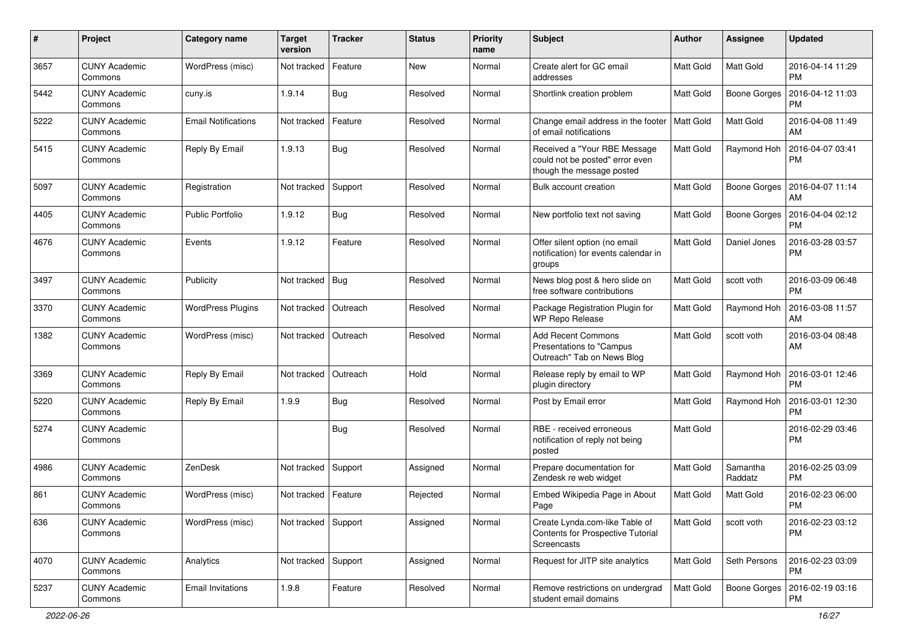| $\#$ | Project                         | Category name              | <b>Target</b><br>version | <b>Tracker</b> | <b>Status</b> | <b>Priority</b><br>name | Subject                                                                                      | Author           | Assignee            | <b>Updated</b>                |
|------|---------------------------------|----------------------------|--------------------------|----------------|---------------|-------------------------|----------------------------------------------------------------------------------------------|------------------|---------------------|-------------------------------|
| 3657 | <b>CUNY Academic</b><br>Commons | WordPress (misc)           | Not tracked              | Feature        | New           | Normal                  | Create alert for GC email<br>addresses                                                       | <b>Matt Gold</b> | Matt Gold           | 2016-04-14 11:29<br><b>PM</b> |
| 5442 | <b>CUNY Academic</b><br>Commons | cuny.is                    | 1.9.14                   | <b>Bug</b>     | Resolved      | Normal                  | Shortlink creation problem                                                                   | <b>Matt Gold</b> | <b>Boone Gorges</b> | 2016-04-12 11:03<br><b>PM</b> |
| 5222 | CUNY Academic<br>Commons        | <b>Email Notifications</b> | Not tracked              | Feature        | Resolved      | Normal                  | Change email address in the footer<br>of email notifications                                 | Matt Gold        | Matt Gold           | 2016-04-08 11:49<br>AM        |
| 5415 | <b>CUNY Academic</b><br>Commons | Reply By Email             | 1.9.13                   | Bug            | Resolved      | Normal                  | Received a "Your RBE Message<br>could not be posted" error even<br>though the message posted | <b>Matt Gold</b> | Raymond Hoh         | 2016-04-07 03:41<br>PM        |
| 5097 | <b>CUNY Academic</b><br>Commons | Registration               | Not tracked              | Support        | Resolved      | Normal                  | Bulk account creation                                                                        | <b>Matt Gold</b> | <b>Boone Gorges</b> | 2016-04-07 11:14<br>AM        |
| 4405 | <b>CUNY Academic</b><br>Commons | <b>Public Portfolio</b>    | 1.9.12                   | Bug            | Resolved      | Normal                  | New portfolio text not saving                                                                | <b>Matt Gold</b> | Boone Gorges        | 2016-04-04 02:12<br><b>PM</b> |
| 4676 | <b>CUNY Academic</b><br>Commons | Events                     | 1.9.12                   | Feature        | Resolved      | Normal                  | Offer silent option (no email<br>notification) for events calendar in<br>groups              | Matt Gold        | Daniel Jones        | 2016-03-28 03:57<br>PM        |
| 3497 | <b>CUNY Academic</b><br>Commons | Publicity                  | Not tracked              | <b>Bug</b>     | Resolved      | Normal                  | News blog post & hero slide on<br>free software contributions                                | Matt Gold        | scott voth          | 2016-03-09 06:48<br>PM        |
| 3370 | <b>CUNY Academic</b><br>Commons | <b>WordPress Plugins</b>   | Not tracked              | Outreach       | Resolved      | Normal                  | Package Registration Plugin for<br>WP Repo Release                                           | Matt Gold        | Raymond Hoh         | 2016-03-08 11:57<br>AM        |
| 1382 | <b>CUNY Academic</b><br>Commons | WordPress (misc)           | Not tracked              | Outreach       | Resolved      | Normal                  | <b>Add Recent Commons</b><br>Presentations to "Campus<br>Outreach" Tab on News Blog          | Matt Gold        | scott voth          | 2016-03-04 08:48<br>AM        |
| 3369 | <b>CUNY Academic</b><br>Commons | Reply By Email             | Not tracked              | Outreach       | Hold          | Normal                  | Release reply by email to WP<br>plugin directory                                             | Matt Gold        | Raymond Hoh         | 2016-03-01 12:46<br>PM        |
| 5220 | <b>CUNY Academic</b><br>Commons | Reply By Email             | 1.9.9                    | Bug            | Resolved      | Normal                  | Post by Email error                                                                          | <b>Matt Gold</b> | Raymond Hoh         | 2016-03-01 12:30<br><b>PM</b> |
| 5274 | <b>CUNY Academic</b><br>Commons |                            |                          | Bug            | Resolved      | Normal                  | RBE - received erroneous<br>notification of reply not being<br>posted                        | <b>Matt Gold</b> |                     | 2016-02-29 03:46<br>PM        |
| 4986 | <b>CUNY Academic</b><br>Commons | ZenDesk                    | Not tracked              | Support        | Assigned      | Normal                  | Prepare documentation for<br>Zendesk re web widget                                           | Matt Gold        | Samantha<br>Raddatz | 2016-02-25 03:09<br><b>PM</b> |
| 861  | <b>CUNY Academic</b><br>Commons | WordPress (misc)           | Not tracked              | Feature        | Rejected      | Normal                  | Embed Wikipedia Page in About<br>Page                                                        | <b>Matt Gold</b> | Matt Gold           | 2016-02-23 06:00<br><b>PM</b> |
| 636  | <b>CUNY Academic</b><br>Commons | WordPress (misc)           | Not tracked Support      |                | Assigned      | Normal                  | Create Lynda.com-like Table of<br>Contents for Prospective Tutorial<br>Screencasts           | Matt Gold        | scott voth          | 2016-02-23 03:12<br><b>PM</b> |
| 4070 | <b>CUNY Academic</b><br>Commons | Analytics                  | Not tracked              | Support        | Assigned      | Normal                  | Request for JITP site analytics                                                              | Matt Gold        | Seth Persons        | 2016-02-23 03:09<br>PM        |
| 5237 | <b>CUNY Academic</b><br>Commons | <b>Email Invitations</b>   | 1.9.8                    | Feature        | Resolved      | Normal                  | Remove restrictions on undergrad<br>student email domains                                    | Matt Gold        | <b>Boone Gorges</b> | 2016-02-19 03:16<br>PM        |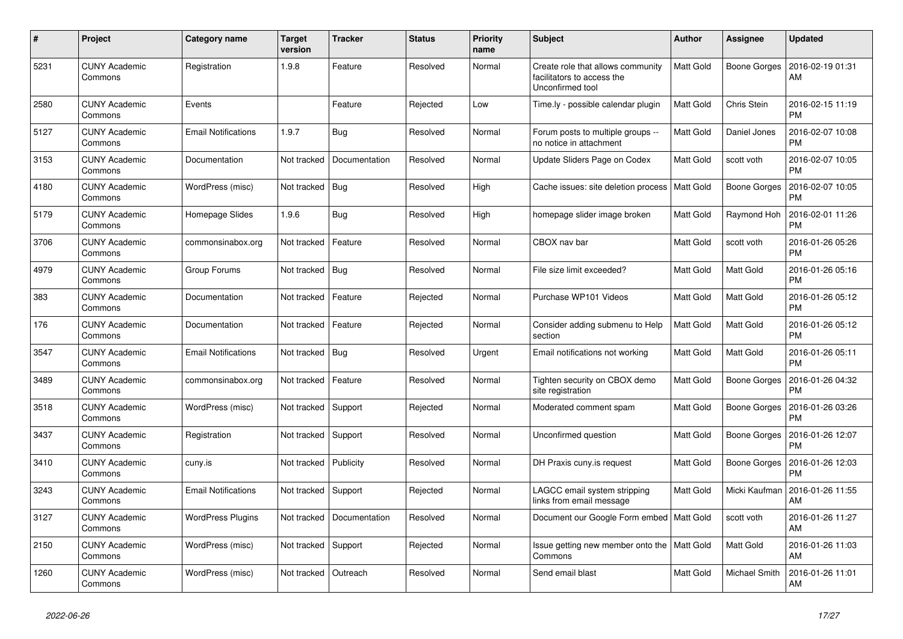| $\#$ | Project                         | Category name              | <b>Target</b><br>version | <b>Tracker</b> | <b>Status</b> | <b>Priority</b><br>name | <b>Subject</b>                                                                      | <b>Author</b>    | Assignee      | <b>Updated</b>                |
|------|---------------------------------|----------------------------|--------------------------|----------------|---------------|-------------------------|-------------------------------------------------------------------------------------|------------------|---------------|-------------------------------|
| 5231 | <b>CUNY Academic</b><br>Commons | Registration               | 1.9.8                    | Feature        | Resolved      | Normal                  | Create role that allows community<br>facilitators to access the<br>Unconfirmed tool | <b>Matt Gold</b> | Boone Gorges  | 2016-02-19 01:31<br>AM        |
| 2580 | <b>CUNY Academic</b><br>Commons | Events                     |                          | Feature        | Rejected      | Low                     | Time.ly - possible calendar plugin                                                  | <b>Matt Gold</b> | Chris Stein   | 2016-02-15 11:19<br><b>PM</b> |
| 5127 | <b>CUNY Academic</b><br>Commons | <b>Email Notifications</b> | 1.9.7                    | Bug            | Resolved      | Normal                  | Forum posts to multiple groups --<br>no notice in attachment                        | <b>Matt Gold</b> | Daniel Jones  | 2016-02-07 10:08<br><b>PM</b> |
| 3153 | <b>CUNY Academic</b><br>Commons | Documentation              | Not tracked              | Documentation  | Resolved      | Normal                  | Update Sliders Page on Codex                                                        | <b>Matt Gold</b> | scott voth    | 2016-02-07 10:05<br>PM        |
| 4180 | <b>CUNY Academic</b><br>Commons | WordPress (misc)           | Not tracked   Bug        |                | Resolved      | High                    | Cache issues: site deletion process                                                 | Matt Gold        | Boone Gorges  | 2016-02-07 10:05<br>PM        |
| 5179 | <b>CUNY Academic</b><br>Commons | Homepage Slides            | 1.9.6                    | Bug            | Resolved      | High                    | homepage slider image broken                                                        | <b>Matt Gold</b> | Raymond Hoh   | 2016-02-01 11:26<br>PM        |
| 3706 | <b>CUNY Academic</b><br>Commons | commonsinabox.org          | Not tracked              | Feature        | Resolved      | Normal                  | CBOX nav bar                                                                        | Matt Gold        | scott voth    | 2016-01-26 05:26<br><b>PM</b> |
| 4979 | <b>CUNY Academic</b><br>Commons | Group Forums               | Not tracked   Bug        |                | Resolved      | Normal                  | File size limit exceeded?                                                           | <b>Matt Gold</b> | Matt Gold     | 2016-01-26 05:16<br><b>PM</b> |
| 383  | <b>CUNY Academic</b><br>Commons | Documentation              | Not tracked              | Feature        | Rejected      | Normal                  | Purchase WP101 Videos                                                               | <b>Matt Gold</b> | Matt Gold     | 2016-01-26 05:12<br><b>PM</b> |
| 176  | <b>CUNY Academic</b><br>Commons | Documentation              | Not tracked              | Feature        | Rejected      | Normal                  | Consider adding submenu to Help<br>section                                          | <b>Matt Gold</b> | Matt Gold     | 2016-01-26 05:12<br>PM        |
| 3547 | <b>CUNY Academic</b><br>Commons | <b>Email Notifications</b> | Not tracked              | Bug            | Resolved      | Urgent                  | Email notifications not working                                                     | Matt Gold        | Matt Gold     | 2016-01-26 05:11<br><b>PM</b> |
| 3489 | <b>CUNY Academic</b><br>Commons | commonsinabox.org          | Not tracked              | Feature        | Resolved      | Normal                  | Tighten security on CBOX demo<br>site registration                                  | <b>Matt Gold</b> | Boone Gorges  | 2016-01-26 04:32<br>PM        |
| 3518 | <b>CUNY Academic</b><br>Commons | WordPress (misc)           | Not tracked              | Support        | Rejected      | Normal                  | Moderated comment spam                                                              | <b>Matt Gold</b> | Boone Gorges  | 2016-01-26 03:26<br>РM        |
| 3437 | <b>CUNY Academic</b><br>Commons | Registration               | Not tracked              | Support        | Resolved      | Normal                  | Unconfirmed question                                                                | <b>Matt Gold</b> | Boone Gorges  | 2016-01-26 12:07<br><b>PM</b> |
| 3410 | <b>CUNY Academic</b><br>Commons | cuny.is                    | Not tracked              | Publicity      | Resolved      | Normal                  | DH Praxis cuny.is request                                                           | <b>Matt Gold</b> | Boone Gorges  | 2016-01-26 12:03<br>РM        |
| 3243 | <b>CUNY Academic</b><br>Commons | <b>Email Notifications</b> | Not tracked              | Support        | Rejected      | Normal                  | LAGCC email system stripping<br>links from email message                            | <b>Matt Gold</b> | Micki Kaufman | 2016-01-26 11:55<br>AM        |
| 3127 | <b>CUNY Academic</b><br>Commons | <b>WordPress Plugins</b>   | Not tracked              | Documentation  | Resolved      | Normal                  | Document our Google Form embed   Matt Gold                                          |                  | scott voth    | 2016-01-26 11:27<br><b>AM</b> |
| 2150 | <b>CUNY Academic</b><br>Commons | WordPress (misc)           | Not tracked              | Support        | Rejected      | Normal                  | Issue getting new member onto the   Matt Gold<br>Commons                            |                  | Matt Gold     | 2016-01-26 11:03<br>AM        |
| 1260 | <b>CUNY Academic</b><br>Commons | WordPress (misc)           | Not tracked              | Outreach       | Resolved      | Normal                  | Send email blast                                                                    | <b>Matt Gold</b> | Michael Smith | 2016-01-26 11:01<br>AM        |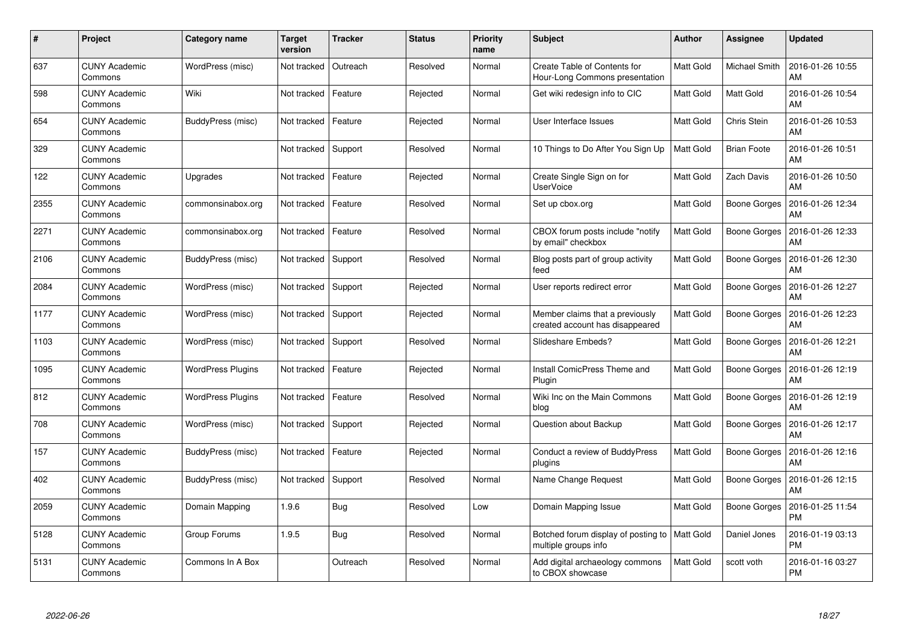| #    | Project                         | <b>Category name</b>     | <b>Target</b><br>version | <b>Tracker</b> | <b>Status</b> | <b>Priority</b><br>name | <b>Subject</b>                                                        | Author    | <b>Assignee</b>     | <b>Updated</b>                |
|------|---------------------------------|--------------------------|--------------------------|----------------|---------------|-------------------------|-----------------------------------------------------------------------|-----------|---------------------|-------------------------------|
| 637  | <b>CUNY Academic</b><br>Commons | WordPress (misc)         | Not tracked              | Outreach       | Resolved      | Normal                  | <b>Create Table of Contents for</b><br>Hour-Long Commons presentation | Matt Gold | Michael Smith       | 2016-01-26 10:55<br>AM        |
| 598  | <b>CUNY Academic</b><br>Commons | Wiki                     | Not tracked              | Feature        | Rejected      | Normal                  | Get wiki redesign info to CIC                                         | Matt Gold | Matt Gold           | 2016-01-26 10:54<br>AM        |
| 654  | <b>CUNY Academic</b><br>Commons | BuddyPress (misc)        | Not tracked              | Feature        | Rejected      | Normal                  | User Interface Issues                                                 | Matt Gold | Chris Stein         | 2016-01-26 10:53<br>AM        |
| 329  | <b>CUNY Academic</b><br>Commons |                          | Not tracked              | Support        | Resolved      | Normal                  | 10 Things to Do After You Sign Up                                     | Matt Gold | <b>Brian Foote</b>  | 2016-01-26 10:51<br>AM        |
| 122  | <b>CUNY Academic</b><br>Commons | Upgrades                 | Not tracked              | Feature        | Rejected      | Normal                  | Create Single Sign on for<br>UserVoice                                | Matt Gold | Zach Davis          | 2016-01-26 10:50<br><b>AM</b> |
| 2355 | <b>CUNY Academic</b><br>Commons | commonsinabox.org        | Not tracked              | Feature        | Resolved      | Normal                  | Set up cbox.org                                                       | Matt Gold | Boone Gorges        | 2016-01-26 12:34<br>AM        |
| 2271 | <b>CUNY Academic</b><br>Commons | commonsinabox.org        | Not tracked              | Feature        | Resolved      | Normal                  | CBOX forum posts include "notify"<br>by email" checkbox               | Matt Gold | <b>Boone Gorges</b> | 2016-01-26 12:33<br>AM        |
| 2106 | <b>CUNY Academic</b><br>Commons | BuddyPress (misc)        | Not tracked              | Support        | Resolved      | Normal                  | Blog posts part of group activity<br>feed                             | Matt Gold | Boone Gorges        | 2016-01-26 12:30<br>AM        |
| 2084 | <b>CUNY Academic</b><br>Commons | WordPress (misc)         | Not tracked              | Support        | Rejected      | Normal                  | User reports redirect error                                           | Matt Gold | Boone Gorges        | 2016-01-26 12:27<br><b>AM</b> |
| 1177 | <b>CUNY Academic</b><br>Commons | WordPress (misc)         | Not tracked              | Support        | Rejected      | Normal                  | Member claims that a previously<br>created account has disappeared    | Matt Gold | Boone Gorges        | 2016-01-26 12:23<br>AM        |
| 1103 | <b>CUNY Academic</b><br>Commons | WordPress (misc)         | Not tracked              | Support        | Resolved      | Normal                  | Slideshare Embeds?                                                    | Matt Gold | Boone Gorges        | 2016-01-26 12:21<br>AM        |
| 1095 | <b>CUNY Academic</b><br>Commons | <b>WordPress Plugins</b> | Not tracked              | Feature        | Rejected      | Normal                  | <b>Install ComicPress Theme and</b><br>Plugin                         | Matt Gold | Boone Gorges        | 2016-01-26 12:19<br>AM        |
| 812  | <b>CUNY Academic</b><br>Commons | <b>WordPress Plugins</b> | Not tracked              | Feature        | Resolved      | Normal                  | Wiki Inc on the Main Commons<br>blog                                  | Matt Gold | Boone Gorges        | 2016-01-26 12:19<br>AM        |
| 708  | <b>CUNY Academic</b><br>Commons | WordPress (misc)         | Not tracked              | Support        | Rejected      | Normal                  | Question about Backup                                                 | Matt Gold | Boone Gorges        | 2016-01-26 12:17<br>AM        |
| 157  | <b>CUNY Academic</b><br>Commons | BuddyPress (misc)        | Not tracked              | Feature        | Rejected      | Normal                  | Conduct a review of BuddyPress<br>plugins                             | Matt Gold | Boone Gorges        | 2016-01-26 12:16<br>AM        |
| 402  | <b>CUNY Academic</b><br>Commons | BuddyPress (misc)        | Not tracked              | Support        | Resolved      | Normal                  | Name Change Request                                                   | Matt Gold | Boone Gorges        | 2016-01-26 12:15<br>AM        |
| 2059 | <b>CUNY Academic</b><br>Commons | Domain Mapping           | 1.9.6                    | Bug            | Resolved      | Low                     | Domain Mapping Issue                                                  | Matt Gold | Boone Gorges        | 2016-01-25 11:54<br><b>PM</b> |
| 5128 | <b>CUNY Academic</b><br>Commons | Group Forums             | 1.9.5                    | Bug            | Resolved      | Normal                  | Botched forum display of posting to<br>multiple groups info           | Matt Gold | Daniel Jones        | 2016-01-19 03:13<br><b>PM</b> |
| 5131 | <b>CUNY Academic</b><br>Commons | Commons In A Box         |                          | Outreach       | Resolved      | Normal                  | Add digital archaeology commons<br>to CBOX showcase                   | Matt Gold | scott voth          | 2016-01-16 03:27<br><b>PM</b> |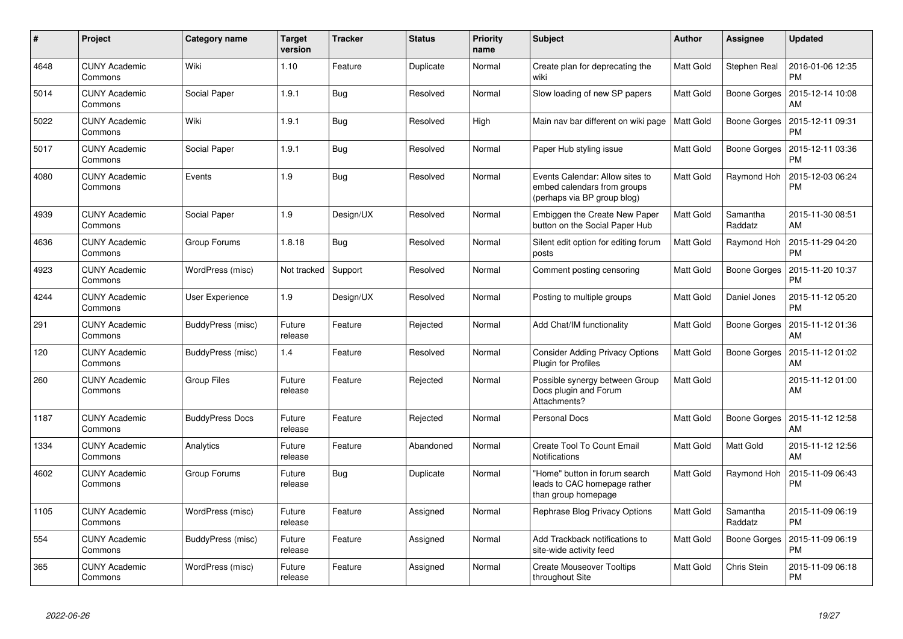| #    | Project                         | Category name          | <b>Target</b><br>version | <b>Tracker</b> | <b>Status</b> | <b>Priority</b><br>name | <b>Subject</b>                                                                                | <b>Author</b>    | <b>Assignee</b>     | <b>Updated</b>                |
|------|---------------------------------|------------------------|--------------------------|----------------|---------------|-------------------------|-----------------------------------------------------------------------------------------------|------------------|---------------------|-------------------------------|
| 4648 | <b>CUNY Academic</b><br>Commons | Wiki                   | 1.10                     | Feature        | Duplicate     | Normal                  | Create plan for deprecating the<br>wiki                                                       | Matt Gold        | Stephen Real        | 2016-01-06 12:35<br><b>PM</b> |
| 5014 | <b>CUNY Academic</b><br>Commons | Social Paper           | 1.9.1                    | Bug            | Resolved      | Normal                  | Slow loading of new SP papers                                                                 | Matt Gold        | Boone Gorges        | 2015-12-14 10:08<br>AM        |
| 5022 | <b>CUNY Academic</b><br>Commons | Wiki                   | 1.9.1                    | <b>Bug</b>     | Resolved      | High                    | Main nav bar different on wiki page                                                           | Matt Gold        | <b>Boone Gorges</b> | 2015-12-11 09:31<br>PM        |
| 5017 | <b>CUNY Academic</b><br>Commons | Social Paper           | 1.9.1                    | <b>Bug</b>     | Resolved      | Normal                  | Paper Hub styling issue                                                                       | Matt Gold        | Boone Gorges        | 2015-12-11 03:36<br>PM        |
| 4080 | <b>CUNY Academic</b><br>Commons | Events                 | 1.9                      | <b>Bug</b>     | Resolved      | Normal                  | Events Calendar: Allow sites to<br>embed calendars from groups<br>(perhaps via BP group blog) | Matt Gold        | Raymond Hoh         | 2015-12-03 06:24<br><b>PM</b> |
| 4939 | <b>CUNY Academic</b><br>Commons | Social Paper           | 1.9                      | Design/UX      | Resolved      | Normal                  | Embiggen the Create New Paper<br>button on the Social Paper Hub                               | Matt Gold        | Samantha<br>Raddatz | 2015-11-30 08:51<br><b>AM</b> |
| 4636 | <b>CUNY Academic</b><br>Commons | Group Forums           | 1.8.18                   | Bug            | Resolved      | Normal                  | Silent edit option for editing forum<br>posts                                                 | Matt Gold        | Raymond Hoh         | 2015-11-29 04:20<br><b>PM</b> |
| 4923 | <b>CUNY Academic</b><br>Commons | WordPress (misc)       | Not tracked              | Support        | Resolved      | Normal                  | Comment posting censoring                                                                     | Matt Gold        | <b>Boone Gorges</b> | 2015-11-20 10:37<br>PM        |
| 4244 | <b>CUNY Academic</b><br>Commons | User Experience        | 1.9                      | Design/UX      | Resolved      | Normal                  | Posting to multiple groups                                                                    | Matt Gold        | Daniel Jones        | 2015-11-12 05:20<br><b>PM</b> |
| 291  | <b>CUNY Academic</b><br>Commons | BuddyPress (misc)      | Future<br>release        | Feature        | Rejected      | Normal                  | Add Chat/IM functionality                                                                     | Matt Gold        | Boone Gorges        | 2015-11-12 01:36<br>AM        |
| 120  | <b>CUNY Academic</b><br>Commons | BuddyPress (misc)      | 1.4                      | Feature        | Resolved      | Normal                  | <b>Consider Adding Privacy Options</b><br><b>Plugin for Profiles</b>                          | <b>Matt Gold</b> | Boone Gorges        | 2015-11-12 01:02<br>AM        |
| 260  | <b>CUNY Academic</b><br>Commons | <b>Group Files</b>     | Future<br>release        | Feature        | Rejected      | Normal                  | Possible synergy between Group<br>Docs plugin and Forum<br>Attachments?                       | Matt Gold        |                     | 2015-11-12 01:00<br>AM        |
| 1187 | <b>CUNY Academic</b><br>Commons | <b>BuddyPress Docs</b> | Future<br>release        | Feature        | Rejected      | Normal                  | <b>Personal Docs</b>                                                                          | Matt Gold        | Boone Gorges        | 2015-11-12 12:58<br><b>AM</b> |
| 1334 | <b>CUNY Academic</b><br>Commons | Analytics              | Future<br>release        | Feature        | Abandoned     | Normal                  | <b>Create Tool To Count Email</b><br>Notifications                                            | Matt Gold        | Matt Gold           | 2015-11-12 12:56<br>AM        |
| 4602 | <b>CUNY Academic</b><br>Commons | Group Forums           | Future<br>release        | <b>Bug</b>     | Duplicate     | Normal                  | "Home" button in forum search<br>leads to CAC homepage rather<br>than group homepage          | Matt Gold        | Raymond Hoh         | 2015-11-09 06:43<br><b>PM</b> |
| 1105 | <b>CUNY Academic</b><br>Commons | WordPress (misc)       | Future<br>release        | Feature        | Assigned      | Normal                  | Rephrase Blog Privacy Options                                                                 | Matt Gold        | Samantha<br>Raddatz | 2015-11-09 06:19<br><b>PM</b> |
| 554  | <b>CUNY Academic</b><br>Commons | BuddyPress (misc)      | Future<br>release        | Feature        | Assigned      | Normal                  | Add Trackback notifications to<br>site-wide activity feed                                     | Matt Gold        | <b>Boone Gorges</b> | 2015-11-09 06:19<br><b>PM</b> |
| 365  | <b>CUNY Academic</b><br>Commons | WordPress (misc)       | Future<br>release        | Feature        | Assigned      | Normal                  | <b>Create Mouseover Tooltips</b><br>throughout Site                                           | Matt Gold        | Chris Stein         | 2015-11-09 06:18<br><b>PM</b> |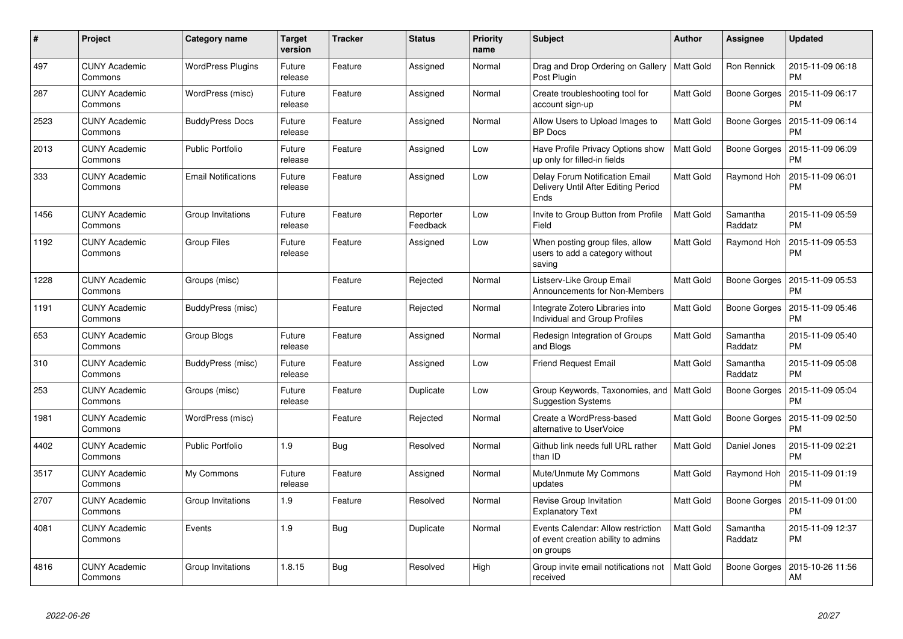| #    | Project                         | Category name              | <b>Target</b><br>version | <b>Tracker</b> | <b>Status</b>        | <b>Priority</b><br>name | <b>Subject</b>                                                                         | <b>Author</b> | Assignee            | <b>Updated</b>                |
|------|---------------------------------|----------------------------|--------------------------|----------------|----------------------|-------------------------|----------------------------------------------------------------------------------------|---------------|---------------------|-------------------------------|
| 497  | <b>CUNY Academic</b><br>Commons | <b>WordPress Plugins</b>   | Future<br>release        | Feature        | Assigned             | Normal                  | Drag and Drop Ordering on Gallery   Matt Gold<br>Post Plugin                           |               | Ron Rennick         | 2015-11-09 06:18<br><b>PM</b> |
| 287  | CUNY Academic<br>Commons        | WordPress (misc)           | Future<br>release        | Feature        | Assigned             | Normal                  | Create troubleshooting tool for<br>account sign-up                                     | Matt Gold     | Boone Gorges        | 2015-11-09 06:17<br><b>PM</b> |
| 2523 | <b>CUNY Academic</b><br>Commons | <b>BuddyPress Docs</b>     | Future<br>release        | Feature        | Assigned             | Normal                  | Allow Users to Upload Images to<br><b>BP</b> Docs                                      | Matt Gold     | <b>Boone Gorges</b> | 2015-11-09 06:14<br><b>PM</b> |
| 2013 | <b>CUNY Academic</b><br>Commons | <b>Public Portfolio</b>    | Future<br>release        | Feature        | Assigned             | Low                     | Have Profile Privacy Options show<br>up only for filled-in fields                      | Matt Gold     | Boone Gorges        | 2015-11-09 06:09<br><b>PM</b> |
| 333  | <b>CUNY Academic</b><br>Commons | <b>Email Notifications</b> | Future<br>release        | Feature        | Assigned             | Low                     | <b>Delay Forum Notification Email</b><br>Delivery Until After Editing Period<br>Ends   | Matt Gold     | Raymond Hoh         | 2015-11-09 06:01<br><b>PM</b> |
| 1456 | <b>CUNY Academic</b><br>Commons | Group Invitations          | Future<br>release        | Feature        | Reporter<br>Feedback | Low                     | Invite to Group Button from Profile<br>Field                                           | Matt Gold     | Samantha<br>Raddatz | 2015-11-09 05:59<br><b>PM</b> |
| 1192 | <b>CUNY Academic</b><br>Commons | <b>Group Files</b>         | Future<br>release        | Feature        | Assigned             | Low                     | When posting group files, allow<br>users to add a category without<br>saving           | Matt Gold     | Raymond Hoh         | 2015-11-09 05:53<br><b>PM</b> |
| 1228 | <b>CUNY Academic</b><br>Commons | Groups (misc)              |                          | Feature        | Rejected             | Normal                  | Listserv-Like Group Email<br><b>Announcements for Non-Members</b>                      | Matt Gold     | Boone Gorges        | 2015-11-09 05:53<br><b>PM</b> |
| 1191 | <b>CUNY Academic</b><br>Commons | BuddyPress (misc)          |                          | Feature        | Rejected             | Normal                  | Integrate Zotero Libraries into<br><b>Individual and Group Profiles</b>                | Matt Gold     | <b>Boone Gorges</b> | 2015-11-09 05:46<br><b>PM</b> |
| 653  | <b>CUNY Academic</b><br>Commons | Group Blogs                | Future<br>release        | Feature        | Assigned             | Normal                  | Redesign Integration of Groups<br>and Blogs                                            | Matt Gold     | Samantha<br>Raddatz | 2015-11-09 05:40<br><b>PM</b> |
| 310  | <b>CUNY Academic</b><br>Commons | BuddyPress (misc)          | Future<br>release        | Feature        | Assigned             | Low                     | <b>Friend Request Email</b>                                                            | Matt Gold     | Samantha<br>Raddatz | 2015-11-09 05:08<br><b>PM</b> |
| 253  | <b>CUNY Academic</b><br>Commons | Groups (misc)              | Future<br>release        | Feature        | Duplicate            | Low                     | Group Keywords, Taxonomies, and   Matt Gold<br><b>Suggestion Systems</b>               |               | Boone Gorges        | 2015-11-09 05:04<br><b>PM</b> |
| 1981 | <b>CUNY Academic</b><br>Commons | WordPress (misc)           |                          | Feature        | Rejected             | Normal                  | Create a WordPress-based<br>alternative to UserVoice                                   | Matt Gold     | Boone Gorges        | 2015-11-09 02:50<br><b>PM</b> |
| 4402 | <b>CUNY Academic</b><br>Commons | <b>Public Portfolio</b>    | 1.9                      | <b>Bug</b>     | Resolved             | Normal                  | Github link needs full URL rather<br>than ID                                           | Matt Gold     | Daniel Jones        | 2015-11-09 02:21<br><b>PM</b> |
| 3517 | <b>CUNY Academic</b><br>Commons | My Commons                 | Future<br>release        | Feature        | Assigned             | Normal                  | Mute/Unmute My Commons<br>updates                                                      | Matt Gold     | Raymond Hoh         | 2015-11-09 01:19<br><b>PM</b> |
| 2707 | <b>CUNY Academic</b><br>Commons | Group Invitations          | 1.9                      | Feature        | Resolved             | Normal                  | Revise Group Invitation<br><b>Explanatory Text</b>                                     | Matt Gold     | Boone Gorges        | 2015-11-09 01:00<br><b>PM</b> |
| 4081 | <b>CUNY Academic</b><br>Commons | Events                     | 1.9                      | <b>Bug</b>     | Duplicate            | Normal                  | Events Calendar: Allow restriction<br>of event creation ability to admins<br>on groups | Matt Gold     | Samantha<br>Raddatz | 2015-11-09 12:37<br><b>PM</b> |
| 4816 | CUNY Academic<br>Commons        | Group Invitations          | 1.8.15                   | Bug            | Resolved             | High                    | Group invite email notifications not<br>received                                       | Matt Gold     | Boone Gorges        | 2015-10-26 11:56<br>AM        |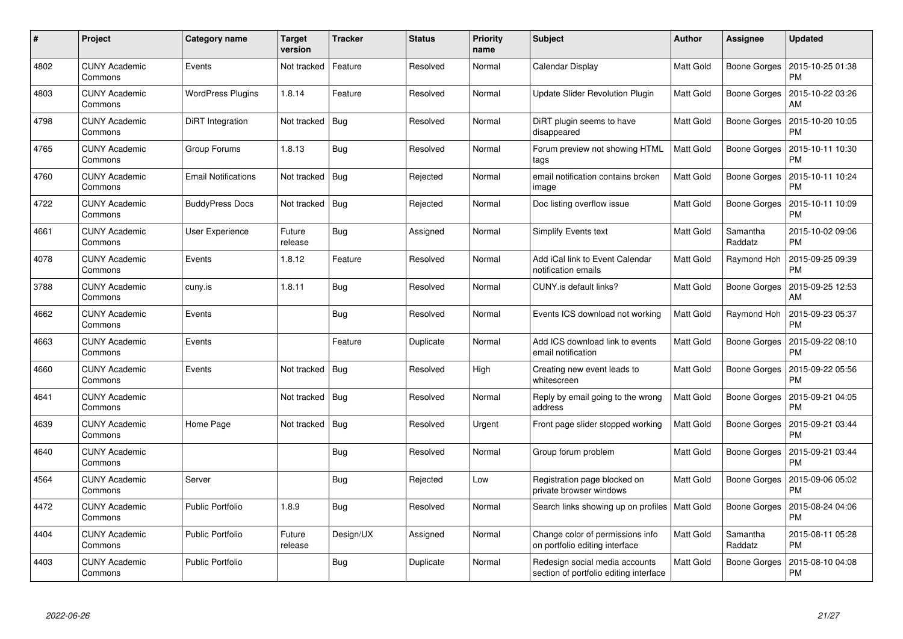| #    | Project                         | <b>Category name</b>       | <b>Target</b><br>version | <b>Tracker</b> | <b>Status</b> | <b>Priority</b><br>name | <b>Subject</b>                                                           | Author           | Assignee            | <b>Updated</b>                |
|------|---------------------------------|----------------------------|--------------------------|----------------|---------------|-------------------------|--------------------------------------------------------------------------|------------------|---------------------|-------------------------------|
| 4802 | <b>CUNY Academic</b><br>Commons | Events                     | Not tracked              | Feature        | Resolved      | Normal                  | Calendar Display                                                         | <b>Matt Gold</b> | Boone Gorges        | 2015-10-25 01:38<br><b>PM</b> |
| 4803 | <b>CUNY Academic</b><br>Commons | <b>WordPress Plugins</b>   | 1.8.14                   | Feature        | Resolved      | Normal                  | Update Slider Revolution Plugin                                          | Matt Gold        | Boone Gorges        | 2015-10-22 03:26<br>AM        |
| 4798 | <b>CUNY Academic</b><br>Commons | DiRT Integration           | Not tracked              | <b>Bug</b>     | Resolved      | Normal                  | DiRT plugin seems to have<br>disappeared                                 | Matt Gold        | <b>Boone Gorges</b> | 2015-10-20 10:05<br><b>PM</b> |
| 4765 | <b>CUNY Academic</b><br>Commons | Group Forums               | 1.8.13                   | <b>Bug</b>     | Resolved      | Normal                  | Forum preview not showing HTML<br>tags                                   | Matt Gold        | Boone Gorges        | 2015-10-11 10:30<br><b>PM</b> |
| 4760 | <b>CUNY Academic</b><br>Commons | <b>Email Notifications</b> | Not tracked              | <b>Bug</b>     | Rejected      | Normal                  | email notification contains broken<br>image                              | Matt Gold        | Boone Gorges        | 2015-10-11 10:24<br><b>PM</b> |
| 4722 | <b>CUNY Academic</b><br>Commons | <b>BuddyPress Docs</b>     | Not tracked              | Bug            | Rejected      | Normal                  | Doc listing overflow issue                                               | Matt Gold        | Boone Gorges        | 2015-10-11 10:09<br><b>PM</b> |
| 4661 | <b>CUNY Academic</b><br>Commons | <b>User Experience</b>     | Future<br>release        | <b>Bug</b>     | Assigned      | Normal                  | Simplify Events text                                                     | Matt Gold        | Samantha<br>Raddatz | 2015-10-02 09:06<br><b>PM</b> |
| 4078 | <b>CUNY Academic</b><br>Commons | Events                     | 1.8.12                   | Feature        | Resolved      | Normal                  | Add iCal link to Event Calendar<br>notification emails                   | Matt Gold        | Raymond Hoh         | 2015-09-25 09:39<br><b>PM</b> |
| 3788 | <b>CUNY Academic</b><br>Commons | cuny.is                    | 1.8.11                   | <b>Bug</b>     | Resolved      | Normal                  | CUNY is default links?                                                   | Matt Gold        | Boone Gorges        | 2015-09-25 12:53<br>AM        |
| 4662 | <b>CUNY Academic</b><br>Commons | Events                     |                          | Bug            | Resolved      | Normal                  | Events ICS download not working                                          | Matt Gold        | Raymond Hoh         | 2015-09-23 05:37<br>PM        |
| 4663 | <b>CUNY Academic</b><br>Commons | Events                     |                          | Feature        | Duplicate     | Normal                  | Add ICS download link to events<br>email notification                    | Matt Gold        | Boone Gorges        | 2015-09-22 08:10<br><b>PM</b> |
| 4660 | <b>CUNY Academic</b><br>Commons | Events                     | Not tracked              | <b>Bug</b>     | Resolved      | High                    | Creating new event leads to<br>whitescreen                               | Matt Gold        | Boone Gorges        | 2015-09-22 05:56<br><b>PM</b> |
| 4641 | <b>CUNY Academic</b><br>Commons |                            | Not tracked              | <b>Bug</b>     | Resolved      | Normal                  | Reply by email going to the wrong<br>address                             | Matt Gold        | Boone Gorges        | 2015-09-21 04:05<br><b>PM</b> |
| 4639 | <b>CUNY Academic</b><br>Commons | Home Page                  | Not tracked              | Bug            | Resolved      | Urgent                  | Front page slider stopped working                                        | Matt Gold        | Boone Gorges        | 2015-09-21 03:44<br><b>PM</b> |
| 4640 | <b>CUNY Academic</b><br>Commons |                            |                          | <b>Bug</b>     | Resolved      | Normal                  | Group forum problem                                                      | Matt Gold        | Boone Gorges        | 2015-09-21 03:44<br><b>PM</b> |
| 4564 | <b>CUNY Academic</b><br>Commons | Server                     |                          | <b>Bug</b>     | Rejected      | Low                     | Registration page blocked on<br>private browser windows                  | Matt Gold        | Boone Gorges        | 2015-09-06 05:02<br><b>PM</b> |
| 4472 | <b>CUNY Academic</b><br>Commons | <b>Public Portfolio</b>    | 1.8.9                    | Bug            | Resolved      | Normal                  | Search links showing up on profiles   Matt Gold                          |                  | Boone Gorges        | 2015-08-24 04:06<br>PM        |
| 4404 | <b>CUNY Academic</b><br>Commons | <b>Public Portfolio</b>    | Future<br>release        | Design/UX      | Assigned      | Normal                  | Change color of permissions info<br>on portfolio editing interface       | Matt Gold        | Samantha<br>Raddatz | 2015-08-11 05:28<br><b>PM</b> |
| 4403 | <b>CUNY Academic</b><br>Commons | Public Portfolio           |                          | <b>Bug</b>     | Duplicate     | Normal                  | Redesign social media accounts<br>section of portfolio editing interface | Matt Gold        | <b>Boone Gorges</b> | 2015-08-10 04:08<br><b>PM</b> |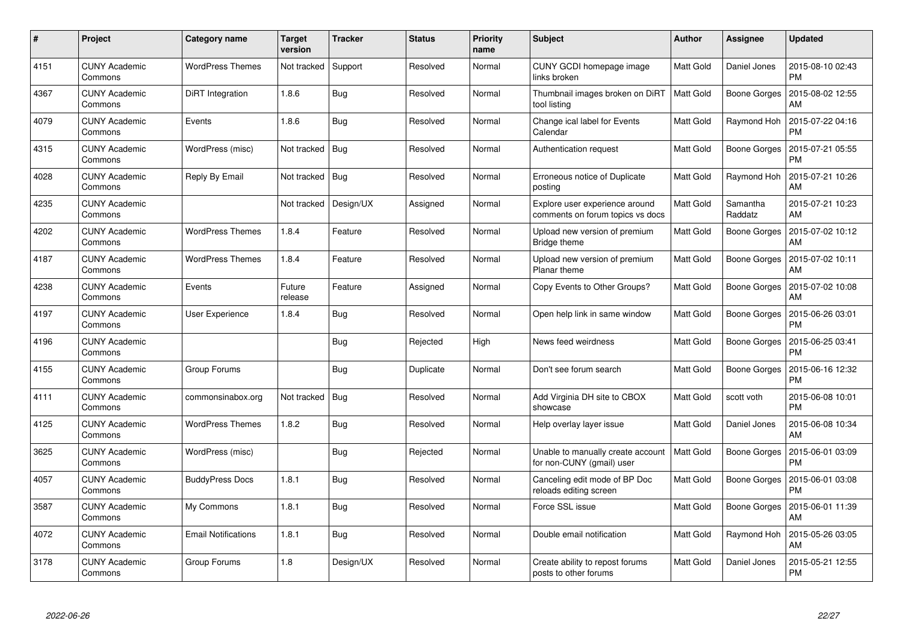| #    | Project                         | <b>Category name</b>       | <b>Target</b><br>version | <b>Tracker</b> | <b>Status</b> | <b>Priority</b><br>name | <b>Subject</b>                                                     | <b>Author</b>    | Assignee            | <b>Updated</b>                |
|------|---------------------------------|----------------------------|--------------------------|----------------|---------------|-------------------------|--------------------------------------------------------------------|------------------|---------------------|-------------------------------|
| 4151 | <b>CUNY Academic</b><br>Commons | <b>WordPress Themes</b>    | Not tracked              | Support        | Resolved      | Normal                  | CUNY GCDI homepage image<br>links broken                           | Matt Gold        | Daniel Jones        | 2015-08-10 02:43<br><b>PM</b> |
| 4367 | <b>CUNY Academic</b><br>Commons | DiRT Integration           | 1.8.6                    | Bug            | Resolved      | Normal                  | Thumbnail images broken on DiRT<br>tool listing                    | <b>Matt Gold</b> | Boone Gorges        | 2015-08-02 12:55<br>AM        |
| 4079 | <b>CUNY Academic</b><br>Commons | Events                     | 1.8.6                    | Bug            | Resolved      | Normal                  | Change ical label for Events<br>Calendar                           | Matt Gold        | Raymond Hoh         | 2015-07-22 04:16<br><b>PM</b> |
| 4315 | <b>CUNY Academic</b><br>Commons | WordPress (misc)           | Not tracked              | <b>Bug</b>     | Resolved      | Normal                  | Authentication request                                             | Matt Gold        | Boone Gorges        | 2015-07-21 05:55<br><b>PM</b> |
| 4028 | <b>CUNY Academic</b><br>Commons | Reply By Email             | Not tracked              | <b>Bug</b>     | Resolved      | Normal                  | Erroneous notice of Duplicate<br>posting                           | Matt Gold        | Raymond Hoh         | 2015-07-21 10:26<br>AM        |
| 4235 | <b>CUNY Academic</b><br>Commons |                            | Not tracked              | Design/UX      | Assigned      | Normal                  | Explore user experience around<br>comments on forum topics vs docs | Matt Gold        | Samantha<br>Raddatz | 2015-07-21 10:23<br>AM        |
| 4202 | <b>CUNY Academic</b><br>Commons | <b>WordPress Themes</b>    | 1.8.4                    | Feature        | Resolved      | Normal                  | Upload new version of premium<br>Bridge theme                      | Matt Gold        | <b>Boone Gorges</b> | 2015-07-02 10:12<br>AM        |
| 4187 | <b>CUNY Academic</b><br>Commons | <b>WordPress Themes</b>    | 1.8.4                    | Feature        | Resolved      | Normal                  | Upload new version of premium<br>Planar theme                      | <b>Matt Gold</b> | Boone Gorges        | 2015-07-02 10:11<br>AM        |
| 4238 | <b>CUNY Academic</b><br>Commons | Events                     | Future<br>release        | Feature        | Assigned      | Normal                  | Copy Events to Other Groups?                                       | Matt Gold        | Boone Gorges        | 2015-07-02 10:08<br>AM        |
| 4197 | <b>CUNY Academic</b><br>Commons | <b>User Experience</b>     | 1.8.4                    | Bug            | Resolved      | Normal                  | Open help link in same window                                      | Matt Gold        | Boone Gorges        | 2015-06-26 03:01<br><b>PM</b> |
| 4196 | <b>CUNY Academic</b><br>Commons |                            |                          | Bug            | Rejected      | High                    | News feed weirdness                                                | <b>Matt Gold</b> | <b>Boone Gorges</b> | 2015-06-25 03:41<br><b>PM</b> |
| 4155 | <b>CUNY Academic</b><br>Commons | Group Forums               |                          | Bug            | Duplicate     | Normal                  | Don't see forum search                                             | Matt Gold        | Boone Gorges        | 2015-06-16 12:32<br><b>PM</b> |
| 4111 | <b>CUNY Academic</b><br>Commons | commonsinabox.org          | Not tracked              | <b>Bug</b>     | Resolved      | Normal                  | Add Virginia DH site to CBOX<br>showcase                           | Matt Gold        | scott voth          | 2015-06-08 10:01<br><b>PM</b> |
| 4125 | <b>CUNY Academic</b><br>Commons | <b>WordPress Themes</b>    | 1.8.2                    | <b>Bug</b>     | Resolved      | Normal                  | Help overlay layer issue                                           | Matt Gold        | Daniel Jones        | 2015-06-08 10:34<br>AM        |
| 3625 | <b>CUNY Academic</b><br>Commons | WordPress (misc)           |                          | Bug            | Rejected      | Normal                  | Unable to manually create account<br>for non-CUNY (gmail) user     | Matt Gold        | Boone Gorges        | 2015-06-01 03:09<br><b>PM</b> |
| 4057 | <b>CUNY Academic</b><br>Commons | <b>BuddyPress Docs</b>     | 1.8.1                    | <b>Bug</b>     | Resolved      | Normal                  | Canceling edit mode of BP Doc<br>reloads editing screen            | Matt Gold        | Boone Gorges        | 2015-06-01 03:08<br><b>PM</b> |
| 3587 | <b>CUNY Academic</b><br>Commons | My Commons                 | 1.8.1                    | Bug            | Resolved      | Normal                  | Force SSL issue                                                    | Matt Gold        | Boone Gorges        | 2015-06-01 11:39<br>AM        |
| 4072 | <b>CUNY Academic</b><br>Commons | <b>Email Notifications</b> | 1.8.1                    | Bug            | Resolved      | Normal                  | Double email notification                                          | Matt Gold        | Raymond Hoh         | 2015-05-26 03:05<br>AM        |
| 3178 | <b>CUNY Academic</b><br>Commons | Group Forums               | 1.8                      | Design/UX      | Resolved      | Normal                  | Create ability to repost forums<br>posts to other forums           | Matt Gold        | Daniel Jones        | 2015-05-21 12:55<br><b>PM</b> |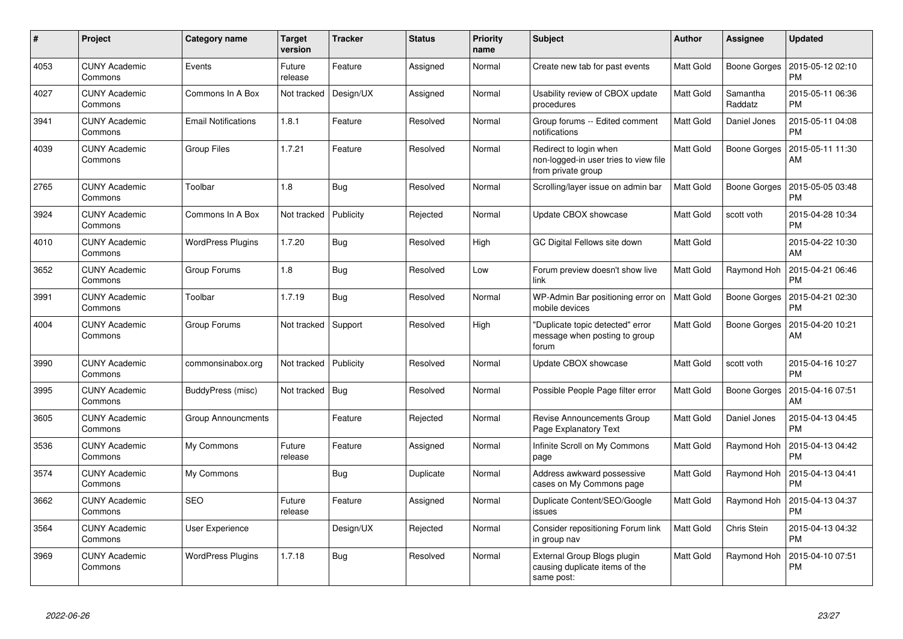| $\#$ | Project                         | Category name              | <b>Target</b><br>version | <b>Tracker</b> | <b>Status</b> | <b>Priority</b><br>name | <b>Subject</b>                                                                        | <b>Author</b>    | Assignee            | <b>Updated</b>                |
|------|---------------------------------|----------------------------|--------------------------|----------------|---------------|-------------------------|---------------------------------------------------------------------------------------|------------------|---------------------|-------------------------------|
| 4053 | <b>CUNY Academic</b><br>Commons | Events                     | Future<br>release        | Feature        | Assigned      | Normal                  | Create new tab for past events                                                        | Matt Gold        | Boone Gorges        | 2015-05-12 02:10<br>PM        |
| 4027 | <b>CUNY Academic</b><br>Commons | Commons In A Box           | Not tracked              | Design/UX      | Assigned      | Normal                  | Usability review of CBOX update<br>procedures                                         | Matt Gold        | Samantha<br>Raddatz | 2015-05-11 06:36<br><b>PM</b> |
| 3941 | <b>CUNY Academic</b><br>Commons | <b>Email Notifications</b> | 1.8.1                    | Feature        | Resolved      | Normal                  | Group forums -- Edited comment<br>notifications                                       | <b>Matt Gold</b> | Daniel Jones        | 2015-05-11 04:08<br><b>PM</b> |
| 4039 | <b>CUNY Academic</b><br>Commons | Group Files                | 1.7.21                   | Feature        | Resolved      | Normal                  | Redirect to login when<br>non-logged-in user tries to view file<br>from private group | <b>Matt Gold</b> | <b>Boone Gorges</b> | 2015-05-11 11:30<br>AM        |
| 2765 | CUNY Academic<br>Commons        | Toolbar                    | 1.8                      | Bug            | Resolved      | Normal                  | Scrolling/layer issue on admin bar                                                    | Matt Gold        | Boone Gorges        | 2015-05-05 03:48<br><b>PM</b> |
| 3924 | <b>CUNY Academic</b><br>Commons | Commons In A Box           | Not tracked              | Publicity      | Rejected      | Normal                  | Update CBOX showcase                                                                  | <b>Matt Gold</b> | scott voth          | 2015-04-28 10:34<br><b>PM</b> |
| 4010 | CUNY Academic<br>Commons        | <b>WordPress Plugins</b>   | 1.7.20                   | Bug            | Resolved      | High                    | GC Digital Fellows site down                                                          | Matt Gold        |                     | 2015-04-22 10:30<br>AM        |
| 3652 | CUNY Academic<br>Commons        | Group Forums               | 1.8                      | Bug            | Resolved      | Low                     | Forum preview doesn't show live<br>link                                               | <b>Matt Gold</b> | Raymond Hoh         | 2015-04-21 06:46<br><b>PM</b> |
| 3991 | CUNY Academic<br>Commons        | Toolbar                    | 1.7.19                   | <b>Bug</b>     | Resolved      | Normal                  | WP-Admin Bar positioning error on<br>mobile devices                                   | <b>Matt Gold</b> | Boone Gorges        | 2015-04-21 02:30<br>PM        |
| 4004 | <b>CUNY Academic</b><br>Commons | Group Forums               | Not tracked              | Support        | Resolved      | High                    | 'Duplicate topic detected" error<br>message when posting to group<br>forum            | <b>Matt Gold</b> | Boone Gorges        | 2015-04-20 10:21<br>AM        |
| 3990 | <b>CUNY Academic</b><br>Commons | commonsinabox.org          | Not tracked              | Publicity      | Resolved      | Normal                  | Update CBOX showcase                                                                  | <b>Matt Gold</b> | scott voth          | 2015-04-16 10:27<br><b>PM</b> |
| 3995 | <b>CUNY Academic</b><br>Commons | BuddyPress (misc)          | Not tracked              | Bug            | Resolved      | Normal                  | Possible People Page filter error                                                     | Matt Gold        | <b>Boone Gorges</b> | 2015-04-16 07:51<br>AM        |
| 3605 | <b>CUNY Academic</b><br>Commons | Group Announcments         |                          | Feature        | Rejected      | Normal                  | Revise Announcements Group<br>Page Explanatory Text                                   | <b>Matt Gold</b> | Daniel Jones        | 2015-04-13 04:45<br><b>PM</b> |
| 3536 | <b>CUNY Academic</b><br>Commons | My Commons                 | Future<br>release        | Feature        | Assigned      | Normal                  | Infinite Scroll on My Commons<br>page                                                 | Matt Gold        | Raymond Hoh         | 2015-04-13 04:42<br>PM        |
| 3574 | <b>CUNY Academic</b><br>Commons | My Commons                 |                          | <b>Bug</b>     | Duplicate     | Normal                  | Address awkward possessive<br>cases on My Commons page                                | <b>Matt Gold</b> | Raymond Hoh         | 2015-04-13 04:41<br><b>PM</b> |
| 3662 | <b>CUNY Academic</b><br>Commons | <b>SEO</b>                 | Future<br>release        | Feature        | Assigned      | Normal                  | Duplicate Content/SEO/Google<br>issues                                                | Matt Gold        | Raymond Hoh         | 2015-04-13 04:37<br><b>PM</b> |
| 3564 | <b>CUNY Academic</b><br>Commons | User Experience            |                          | Design/UX      | Rejected      | Normal                  | Consider repositioning Forum link<br>in group nav                                     | Matt Gold        | Chris Stein         | 2015-04-13 04:32<br><b>PM</b> |
| 3969 | <b>CUNY Academic</b><br>Commons | <b>WordPress Plugins</b>   | 1.7.18                   | Bug            | Resolved      | Normal                  | External Group Blogs plugin<br>causing duplicate items of the<br>same post:           | <b>Matt Gold</b> | Raymond Hoh         | 2015-04-10 07:51<br>PM        |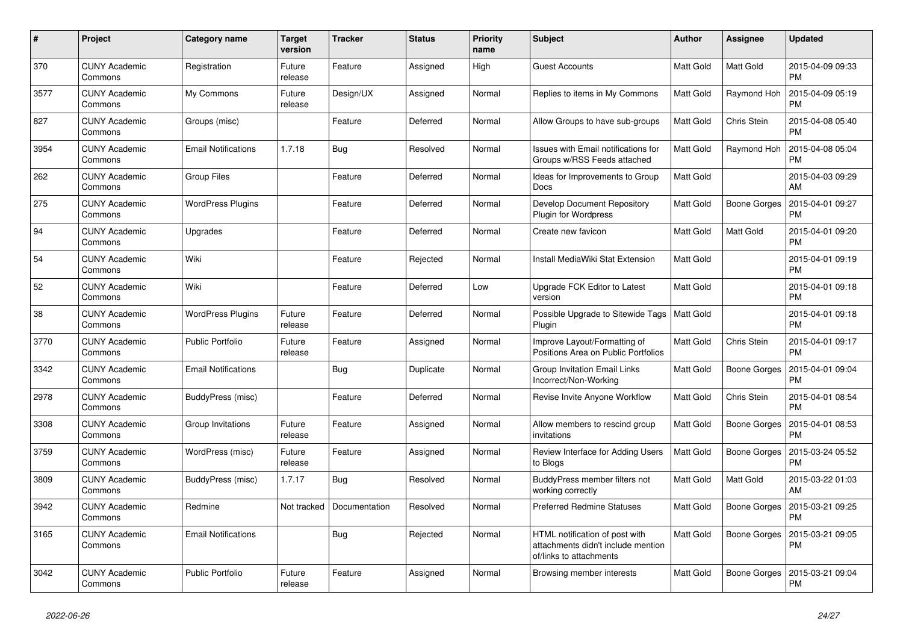| #    | Project                         | <b>Category name</b>       | <b>Target</b><br>version | <b>Tracker</b> | <b>Status</b> | <b>Priority</b><br>name | <b>Subject</b>                                                                                  | <b>Author</b> | Assignee            | <b>Updated</b>                |
|------|---------------------------------|----------------------------|--------------------------|----------------|---------------|-------------------------|-------------------------------------------------------------------------------------------------|---------------|---------------------|-------------------------------|
| 370  | <b>CUNY Academic</b><br>Commons | Registration               | Future<br>release        | Feature        | Assigned      | High                    | <b>Guest Accounts</b>                                                                           | Matt Gold     | <b>Matt Gold</b>    | 2015-04-09 09:33<br><b>PM</b> |
| 3577 | <b>CUNY Academic</b><br>Commons | My Commons                 | Future<br>release        | Design/UX      | Assigned      | Normal                  | Replies to items in My Commons                                                                  | Matt Gold     | Raymond Hoh         | 2015-04-09 05:19<br><b>PM</b> |
| 827  | <b>CUNY Academic</b><br>Commons | Groups (misc)              |                          | Feature        | Deferred      | Normal                  | Allow Groups to have sub-groups                                                                 | Matt Gold     | Chris Stein         | 2015-04-08 05:40<br>PM        |
| 3954 | <b>CUNY Academic</b><br>Commons | <b>Email Notifications</b> | 1.7.18                   | <b>Bug</b>     | Resolved      | Normal                  | <b>Issues with Email notifications for</b><br>Groups w/RSS Feeds attached                       | Matt Gold     | Raymond Hoh         | 2015-04-08 05:04<br><b>PM</b> |
| 262  | <b>CUNY Academic</b><br>Commons | <b>Group Files</b>         |                          | Feature        | Deferred      | Normal                  | Ideas for Improvements to Group<br>Docs                                                         | Matt Gold     |                     | 2015-04-03 09:29<br><b>AM</b> |
| 275  | <b>CUNY Academic</b><br>Commons | <b>WordPress Plugins</b>   |                          | Feature        | Deferred      | Normal                  | Develop Document Repository<br><b>Plugin for Wordpress</b>                                      | Matt Gold     | Boone Gorges        | 2015-04-01 09:27<br><b>PM</b> |
| 94   | <b>CUNY Academic</b><br>Commons | Upgrades                   |                          | Feature        | Deferred      | Normal                  | Create new favicon                                                                              | Matt Gold     | <b>Matt Gold</b>    | 2015-04-01 09:20<br><b>PM</b> |
| 54   | <b>CUNY Academic</b><br>Commons | Wiki                       |                          | Feature        | Rejected      | Normal                  | Install MediaWiki Stat Extension                                                                | Matt Gold     |                     | 2015-04-01 09:19<br><b>PM</b> |
| 52   | <b>CUNY Academic</b><br>Commons | Wiki                       |                          | Feature        | Deferred      | Low                     | Upgrade FCK Editor to Latest<br>version                                                         | Matt Gold     |                     | 2015-04-01 09:18<br><b>PM</b> |
| 38   | <b>CUNY Academic</b><br>Commons | <b>WordPress Plugins</b>   | Future<br>release        | Feature        | Deferred      | Normal                  | Possible Upgrade to Sitewide Tags<br>Plugin                                                     | Matt Gold     |                     | 2015-04-01 09:18<br><b>PM</b> |
| 3770 | <b>CUNY Academic</b><br>Commons | Public Portfolio           | Future<br>release        | Feature        | Assigned      | Normal                  | Improve Layout/Formatting of<br>Positions Area on Public Portfolios                             | Matt Gold     | Chris Stein         | 2015-04-01 09:17<br><b>PM</b> |
| 3342 | <b>CUNY Academic</b><br>Commons | <b>Email Notifications</b> |                          | <b>Bug</b>     | Duplicate     | Normal                  | Group Invitation Email Links<br>Incorrect/Non-Working                                           | Matt Gold     | <b>Boone Gorges</b> | 2015-04-01 09:04<br><b>PM</b> |
| 2978 | <b>CUNY Academic</b><br>Commons | BuddyPress (misc)          |                          | Feature        | Deferred      | Normal                  | Revise Invite Anyone Workflow                                                                   | Matt Gold     | Chris Stein         | 2015-04-01 08:54<br><b>PM</b> |
| 3308 | <b>CUNY Academic</b><br>Commons | Group Invitations          | Future<br>release        | Feature        | Assigned      | Normal                  | Allow members to rescind group<br>invitations                                                   | Matt Gold     | Boone Gorges        | 2015-04-01 08:53<br><b>PM</b> |
| 3759 | <b>CUNY Academic</b><br>Commons | WordPress (misc)           | Future<br>release        | Feature        | Assigned      | Normal                  | Review Interface for Adding Users<br>to Blogs                                                   | Matt Gold     | <b>Boone Gorges</b> | 2015-03-24 05:52<br><b>PM</b> |
| 3809 | <b>CUNY Academic</b><br>Commons | BuddyPress (misc)          | 1.7.17                   | <b>Bug</b>     | Resolved      | Normal                  | BuddyPress member filters not<br>working correctly                                              | Matt Gold     | Matt Gold           | 2015-03-22 01:03<br><b>AM</b> |
| 3942 | <b>CUNY Academic</b><br>Commons | Redmine                    | Not tracked              | Documentation  | Resolved      | Normal                  | <b>Preferred Redmine Statuses</b>                                                               | Matt Gold     | Boone Gorges        | 2015-03-21 09:25<br>PM        |
| 3165 | <b>CUNY Academic</b><br>Commons | <b>Email Notifications</b> |                          | <b>Bug</b>     | Rejected      | Normal                  | HTML notification of post with<br>attachments didn't include mention<br>of/links to attachments | Matt Gold     | Boone Gorges        | 2015-03-21 09:05<br>РM        |
| 3042 | <b>CUNY Academic</b><br>Commons | Public Portfolio           | Future<br>release        | Feature        | Assigned      | Normal                  | Browsing member interests                                                                       | Matt Gold     | Boone Gorges        | 2015-03-21 09:04<br><b>PM</b> |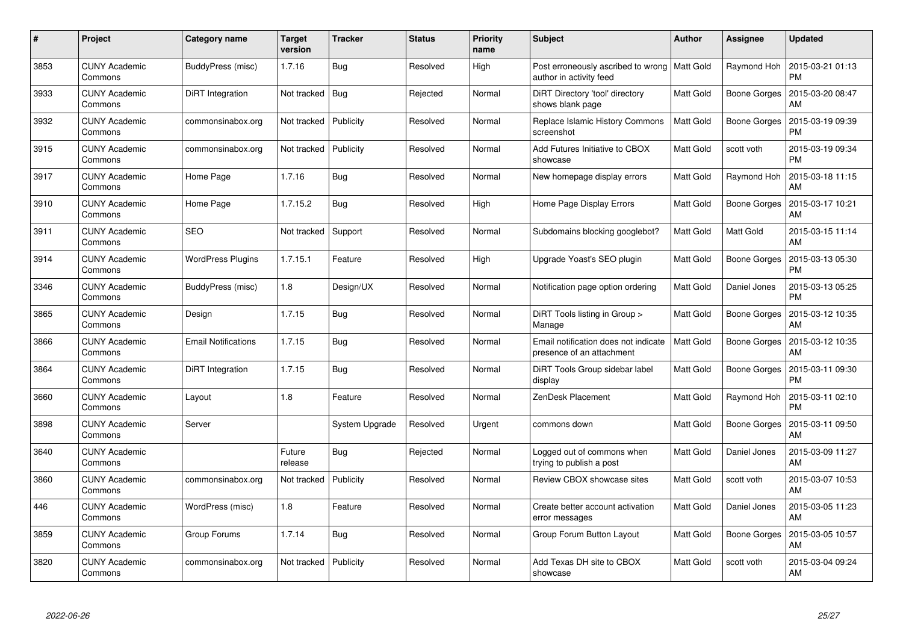| #    | <b>Project</b>                  | Category name              | <b>Target</b><br>version | <b>Tracker</b> | <b>Status</b> | <b>Priority</b><br>name | <b>Subject</b>                                                            | Author           | Assignee            | <b>Updated</b>                |
|------|---------------------------------|----------------------------|--------------------------|----------------|---------------|-------------------------|---------------------------------------------------------------------------|------------------|---------------------|-------------------------------|
| 3853 | <b>CUNY Academic</b><br>Commons | BuddyPress (misc)          | 1.7.16                   | <b>Bug</b>     | Resolved      | High                    | Post erroneously ascribed to wrong   Matt Gold<br>author in activity feed |                  | Raymond Hoh         | 2015-03-21 01:13<br><b>PM</b> |
| 3933 | <b>CUNY Academic</b><br>Commons | DiRT Integration           | Not tracked              | Bug            | Rejected      | Normal                  | DiRT Directory 'tool' directory<br>shows blank page                       | Matt Gold        | Boone Gorges        | 2015-03-20 08:47<br>AM        |
| 3932 | <b>CUNY Academic</b><br>Commons | commonsinabox.org          | Not tracked              | Publicity      | Resolved      | Normal                  | Replace Islamic History Commons<br>screenshot                             | <b>Matt Gold</b> | <b>Boone Gorges</b> | 2015-03-19 09:39<br><b>PM</b> |
| 3915 | <b>CUNY Academic</b><br>Commons | commonsinabox.org          | Not tracked              | Publicity      | Resolved      | Normal                  | Add Futures Initiative to CBOX<br>showcase                                | Matt Gold        | scott voth          | 2015-03-19 09:34<br><b>PM</b> |
| 3917 | <b>CUNY Academic</b><br>Commons | Home Page                  | 1.7.16                   | <b>Bug</b>     | Resolved      | Normal                  | New homepage display errors                                               | Matt Gold        | Raymond Hoh         | 2015-03-18 11:15<br>AM        |
| 3910 | <b>CUNY Academic</b><br>Commons | Home Page                  | 1.7.15.2                 | Bug            | Resolved      | High                    | Home Page Display Errors                                                  | Matt Gold        | Boone Gorges        | 2015-03-17 10:21<br>AM        |
| 3911 | <b>CUNY Academic</b><br>Commons | <b>SEO</b>                 | Not tracked              | Support        | Resolved      | Normal                  | Subdomains blocking googlebot?                                            | <b>Matt Gold</b> | Matt Gold           | 2015-03-15 11:14<br>AM        |
| 3914 | <b>CUNY Academic</b><br>Commons | <b>WordPress Plugins</b>   | 1.7.15.1                 | Feature        | Resolved      | High                    | Upgrade Yoast's SEO plugin                                                | Matt Gold        | Boone Gorges        | 2015-03-13 05:30<br>PM        |
| 3346 | <b>CUNY Academic</b><br>Commons | BuddyPress (misc)          | 1.8                      | Design/UX      | Resolved      | Normal                  | Notification page option ordering                                         | Matt Gold        | Daniel Jones        | 2015-03-13 05:25<br><b>PM</b> |
| 3865 | <b>CUNY Academic</b><br>Commons | Design                     | 1.7.15                   | Bug            | Resolved      | Normal                  | DiRT Tools listing in Group ><br>Manage                                   | Matt Gold        | Boone Gorges        | 2015-03-12 10:35<br>AM        |
| 3866 | <b>CUNY Academic</b><br>Commons | <b>Email Notifications</b> | 1.7.15                   | Bug            | Resolved      | Normal                  | Email notification does not indicate<br>presence of an attachment         | <b>Matt Gold</b> | Boone Gorges        | 2015-03-12 10:35<br>AM        |
| 3864 | <b>CUNY Academic</b><br>Commons | DiRT Integration           | 1.7.15                   | Bug            | Resolved      | Normal                  | DiRT Tools Group sidebar label<br>display                                 | Matt Gold        | Boone Gorges        | 2015-03-11 09:30<br>PM        |
| 3660 | <b>CUNY Academic</b><br>Commons | Layout                     | 1.8                      | Feature        | Resolved      | Normal                  | ZenDesk Placement                                                         | Matt Gold        | Raymond Hoh         | 2015-03-11 02:10<br><b>PM</b> |
| 3898 | <b>CUNY Academic</b><br>Commons | Server                     |                          | System Upgrade | Resolved      | Urgent                  | commons down                                                              | Matt Gold        | Boone Gorges        | 2015-03-11 09:50<br>AM        |
| 3640 | <b>CUNY Academic</b><br>Commons |                            | Future<br>release        | Bug            | Rejected      | Normal                  | Logged out of commons when<br>trying to publish a post                    | Matt Gold        | Daniel Jones        | 2015-03-09 11:27<br>AM        |
| 3860 | <b>CUNY Academic</b><br>Commons | commonsinabox.org          | Not tracked              | Publicity      | Resolved      | Normal                  | Review CBOX showcase sites                                                | Matt Gold        | scott voth          | 2015-03-07 10:53<br><b>AM</b> |
| 446  | <b>CUNY Academic</b><br>Commons | WordPress (misc)           | 1.8                      | Feature        | Resolved      | Normal                  | Create better account activation<br>error messages                        | Matt Gold        | Daniel Jones        | 2015-03-05 11:23<br>AM        |
| 3859 | <b>CUNY Academic</b><br>Commons | Group Forums               | 1.7.14                   | Bug            | Resolved      | Normal                  | Group Forum Button Layout                                                 | Matt Gold        | <b>Boone Gorges</b> | 2015-03-05 10:57<br>AM        |
| 3820 | <b>CUNY Academic</b><br>Commons | commonsinabox.org          | Not tracked              | Publicity      | Resolved      | Normal                  | Add Texas DH site to CBOX<br>showcase                                     | Matt Gold        | scott voth          | 2015-03-04 09:24<br>AM        |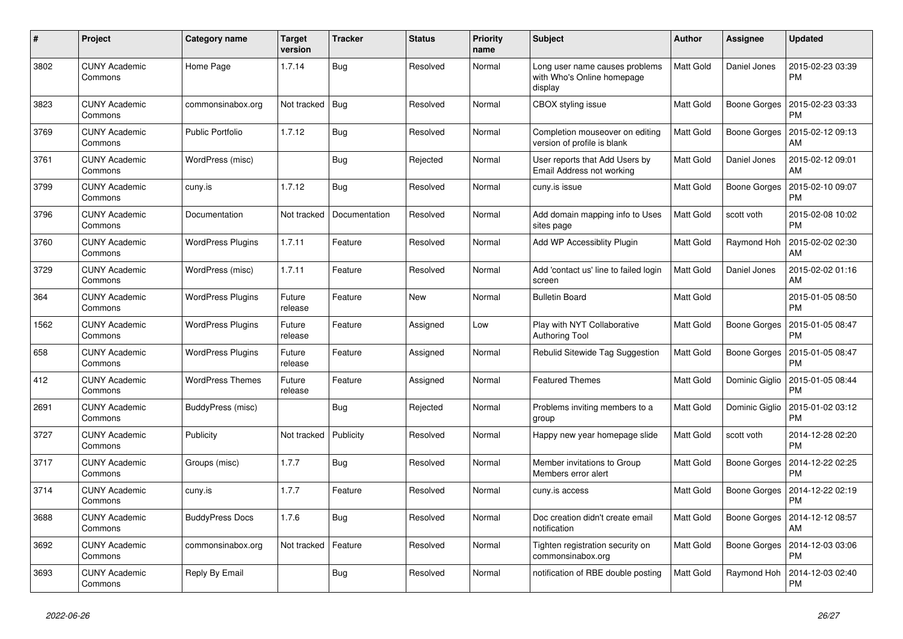| #    | Project                         | <b>Category name</b>     | <b>Target</b><br>version | <b>Tracker</b> | <b>Status</b> | <b>Priority</b><br>name | <b>Subject</b>                                                          | <b>Author</b>    | Assignee            | <b>Updated</b>                |
|------|---------------------------------|--------------------------|--------------------------|----------------|---------------|-------------------------|-------------------------------------------------------------------------|------------------|---------------------|-------------------------------|
| 3802 | <b>CUNY Academic</b><br>Commons | Home Page                | 1.7.14                   | Bug            | Resolved      | Normal                  | Long user name causes problems<br>with Who's Online homepage<br>display | Matt Gold        | Daniel Jones        | 2015-02-23 03:39<br><b>PM</b> |
| 3823 | <b>CUNY Academic</b><br>Commons | commonsinabox.org        | Not tracked              | Bug            | Resolved      | Normal                  | CBOX styling issue                                                      | Matt Gold        | Boone Gorges        | 2015-02-23 03:33<br>PM        |
| 3769 | <b>CUNY Academic</b><br>Commons | <b>Public Portfolio</b>  | 1.7.12                   | <b>Bug</b>     | Resolved      | Normal                  | Completion mouseover on editing<br>version of profile is blank          | Matt Gold        | Boone Gorges        | 2015-02-12 09:13<br>AM        |
| 3761 | <b>CUNY Academic</b><br>Commons | WordPress (misc)         |                          | Bug            | Rejected      | Normal                  | User reports that Add Users by<br>Email Address not working             | Matt Gold        | Daniel Jones        | 2015-02-12 09:01<br><b>AM</b> |
| 3799 | <b>CUNY Academic</b><br>Commons | cuny.is                  | 1.7.12                   | Bug            | Resolved      | Normal                  | cuny.is issue                                                           | Matt Gold        | Boone Gorges        | 2015-02-10 09:07<br><b>PM</b> |
| 3796 | <b>CUNY Academic</b><br>Commons | Documentation            | Not tracked              | Documentation  | Resolved      | Normal                  | Add domain mapping info to Uses<br>sites page                           | <b>Matt Gold</b> | scott voth          | 2015-02-08 10:02<br><b>PM</b> |
| 3760 | <b>CUNY Academic</b><br>Commons | <b>WordPress Plugins</b> | 1.7.11                   | Feature        | Resolved      | Normal                  | Add WP Accessiblity Plugin                                              | Matt Gold        | Raymond Hoh         | 2015-02-02 02:30<br><b>AM</b> |
| 3729 | <b>CUNY Academic</b><br>Commons | WordPress (misc)         | 1.7.11                   | Feature        | Resolved      | Normal                  | Add 'contact us' line to failed login<br>screen                         | Matt Gold        | Daniel Jones        | 2015-02-02 01:16<br>AM        |
| 364  | <b>CUNY Academic</b><br>Commons | <b>WordPress Plugins</b> | Future<br>release        | Feature        | New           | Normal                  | <b>Bulletin Board</b>                                                   | Matt Gold        |                     | 2015-01-05 08:50<br><b>PM</b> |
| 1562 | <b>CUNY Academic</b><br>Commons | <b>WordPress Plugins</b> | Future<br>release        | Feature        | Assigned      | Low                     | Play with NYT Collaborative<br><b>Authoring Tool</b>                    | Matt Gold        | <b>Boone Gorges</b> | 2015-01-05 08:47<br><b>PM</b> |
| 658  | <b>CUNY Academic</b><br>Commons | <b>WordPress Plugins</b> | Future<br>release        | Feature        | Assigned      | Normal                  | Rebulid Sitewide Tag Suggestion                                         | Matt Gold        | Boone Gorges        | 2015-01-05 08:47<br><b>PM</b> |
| 412  | <b>CUNY Academic</b><br>Commons | <b>WordPress Themes</b>  | Future<br>release        | Feature        | Assigned      | Normal                  | <b>Featured Themes</b>                                                  | Matt Gold        | Dominic Giglio      | 2015-01-05 08:44<br><b>PM</b> |
| 2691 | <b>CUNY Academic</b><br>Commons | BuddyPress (misc)        |                          | <b>Bug</b>     | Rejected      | Normal                  | Problems inviting members to a<br>group                                 | Matt Gold        | Dominic Giglio      | 2015-01-02 03:12<br><b>PM</b> |
| 3727 | <b>CUNY Academic</b><br>Commons | Publicity                | Not tracked              | Publicity      | Resolved      | Normal                  | Happy new year homepage slide                                           | Matt Gold        | scott voth          | 2014-12-28 02:20<br><b>PM</b> |
| 3717 | <b>CUNY Academic</b><br>Commons | Groups (misc)            | 1.7.7                    | <b>Bug</b>     | Resolved      | Normal                  | Member invitations to Group<br>Members error alert                      | Matt Gold        | Boone Gorges        | 2014-12-22 02:25<br><b>PM</b> |
| 3714 | <b>CUNY Academic</b><br>Commons | cuny.is                  | 1.7.7                    | Feature        | Resolved      | Normal                  | cuny.is access                                                          | Matt Gold        | Boone Gorges        | 2014-12-22 02:19<br><b>PM</b> |
| 3688 | <b>CUNY Academic</b><br>Commons | <b>BuddyPress Docs</b>   | 1.7.6                    | Bug            | Resolved      | Normal                  | Doc creation didn't create email<br>notification                        | Matt Gold        | Boone Gorges        | 2014-12-12 08:57<br>AM        |
| 3692 | <b>CUNY Academic</b><br>Commons | commonsinabox.org        | Not tracked              | Feature        | Resolved      | Normal                  | Tighten registration security on<br>commonsinabox.org                   | Matt Gold        | Boone Gorges        | 2014-12-03 03:06<br><b>PM</b> |
| 3693 | <b>CUNY Academic</b><br>Commons | Reply By Email           |                          | <b>Bug</b>     | Resolved      | Normal                  | notification of RBE double posting                                      | Matt Gold        | Raymond Hoh         | 2014-12-03 02:40<br><b>PM</b> |